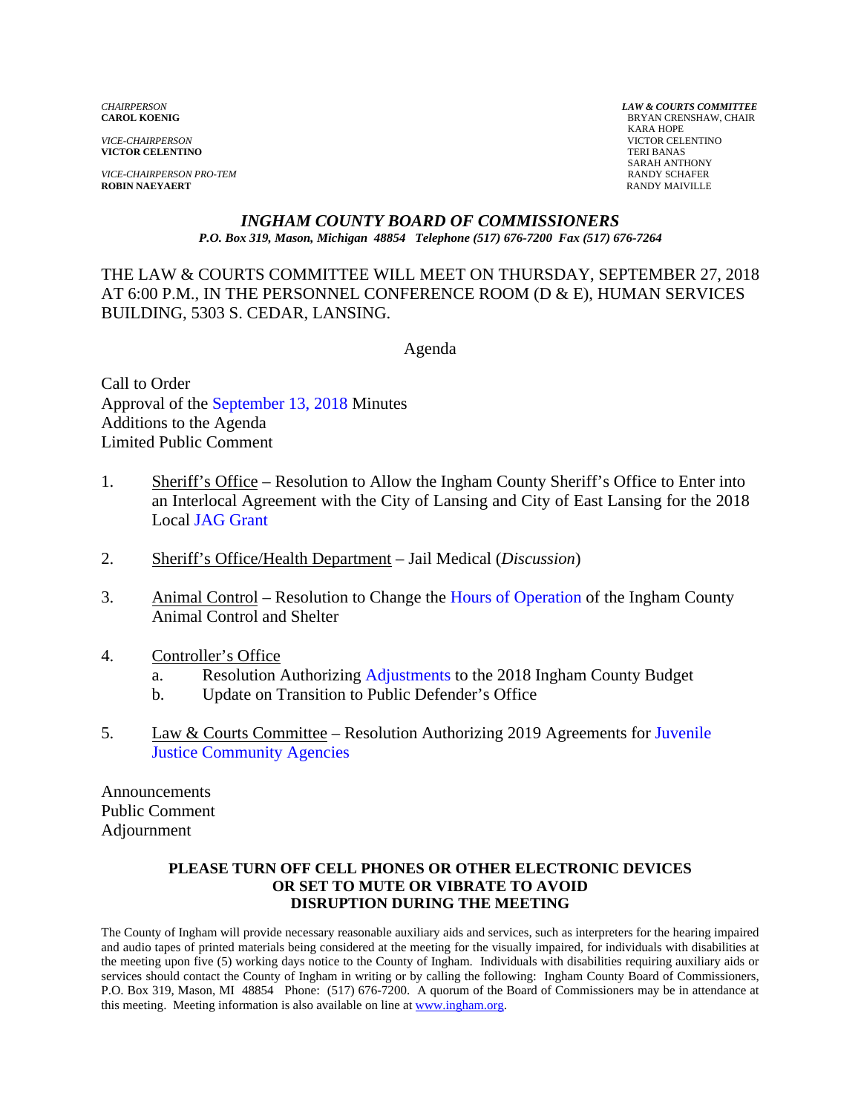*VICE-CHAIRPERSON* VICTOR CELENTINO **VICTOR CELENTINO** 

*VICE-CHAIRPERSON PRO-TEM* **RANDY SCHAFER**<br> **ROBIN NAEYAERT ROBIN RANDY MAIVILLE ROBIN NAEYAERT** 

*CHAIRPERSON LAW & COURTS COMMITTEE* **BRYAN CRENSHAW, CHAIR**  KARA HOPE SARAH ANTHONY

#### *INGHAM COUNTY BOARD OF COMMISSIONERS P.O. Box 319, Mason, Michigan 48854 Telephone (517) 676-7200 Fax (517) 676-7264*

THE LAW & COURTS COMMITTEE WILL MEET ON THURSDAY, SEPTEMBER 27, 2018 AT 6:00 P.M., IN THE PERSONNEL CONFERENCE ROOM (D & E), HUMAN SERVICES BUILDING, 5303 S. CEDAR, LANSING.

Agenda

Call to Order Approval of [the September 13, 2018 Minutes](#page-1-0)  Additions to the Agenda Limited Public Comment

- 1. Sheriff's Office Resolution to Allow the Ingham County Sheriff's Office to Enter into [an Interlocal Agreement with th](#page-7-0)e City of Lansing and City of East Lansing for the 2018 Local JAG Grant
- 2. Sheriff's Office/Health Department Jail Medical (*Discussion*)
- 3. Animal Control Resolution to Chang[e the Hours of Operation of the Ingha](#page-9-0)m County Animal Control and Shelter
- 4. Controller's Office
	- a. Resolution Authori[zing Adjustments to the 2018](#page-13-0) Ingham County Budget
	- b. Update on Transition to Public Defender's Office
- 5. [Law & Courts Committee Resolution Authorizing 2019 Agreements for](#page-22-0) Juvenile Justice Community Agencies

Announcements Public Comment Adjournment

#### **PLEASE TURN OFF CELL PHONES OR OTHER ELECTRONIC DEVICES OR SET TO MUTE OR VIBRATE TO AVOID DISRUPTION DURING THE MEETING**

The County of Ingham will provide necessary reasonable auxiliary aids and services, such as interpreters for the hearing impaired and audio tapes of printed materials being considered at the meeting for the visually impaired, for individuals with disabilities at the meeting upon five (5) working days notice to the County of Ingham. Individuals with disabilities requiring auxiliary aids or services should contact the County of Ingham in writing or by calling the following: Ingham County Board of Commissioners, P.O. Box 319, Mason, MI 48854 Phone: (517) 676-7200. A quorum of the Board of Commissioners may be in attendance at this meeting. Meeting information is also available on line at www.ingham.org.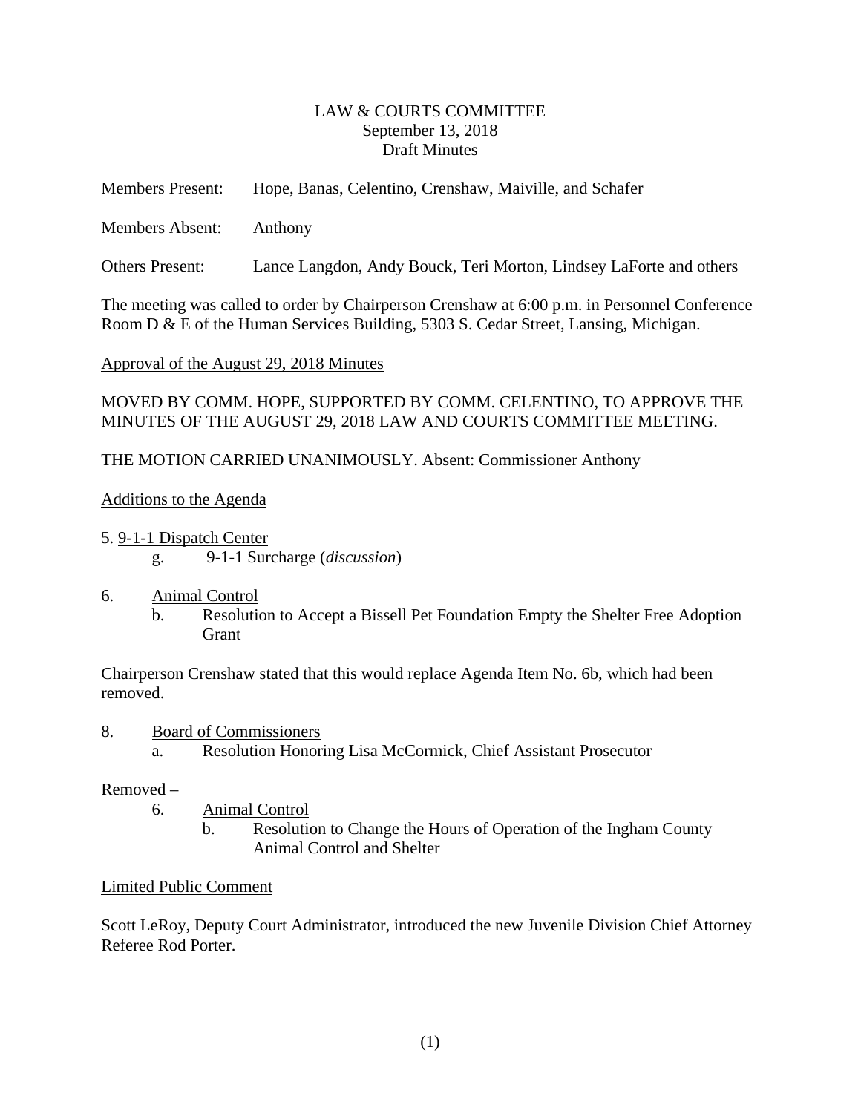#### LAW & COURTS COMMITTEE September 13, 2018 Draft Minutes

<span id="page-1-0"></span>

| <b>Members Present:</b> | Hope, Banas, Celentino, Crenshaw, Maiville, and Schafer            |
|-------------------------|--------------------------------------------------------------------|
| <b>Members Absent:</b>  | Anthony                                                            |
| <b>Others Present:</b>  | Lance Langdon, Andy Bouck, Teri Morton, Lindsey LaForte and others |

The meeting was called to order by Chairperson Crenshaw at 6:00 p.m. in Personnel Conference Room D & E of the Human Services Building, 5303 S. Cedar Street, Lansing, Michigan.

Approval of the August 29, 2018 Minutes

MOVED BY COMM. HOPE, SUPPORTED BY COMM. CELENTINO, TO APPROVE THE MINUTES OF THE AUGUST 29, 2018 LAW AND COURTS COMMITTEE MEETING.

THE MOTION CARRIED UNANIMOUSLY. Absent: Commissioner Anthony

### Additions to the Agenda

- 5. 9-1-1 Dispatch Center g. 9-1-1 Surcharge (*discussion*)
- 6. Animal Control
	- b. Resolution to Accept a Bissell Pet Foundation Empty the Shelter Free Adoption **Grant**

Chairperson Crenshaw stated that this would replace Agenda Item No. 6b, which had been removed.

- 8. Board of Commissioners
	- a. Resolution Honoring Lisa McCormick, Chief Assistant Prosecutor

#### Removed –

6. Animal Control b. Resolution to Change the Hours of Operation of the Ingham County Animal Control and Shelter

### Limited Public Comment

Scott LeRoy, Deputy Court Administrator, introduced the new Juvenile Division Chief Attorney Referee Rod Porter.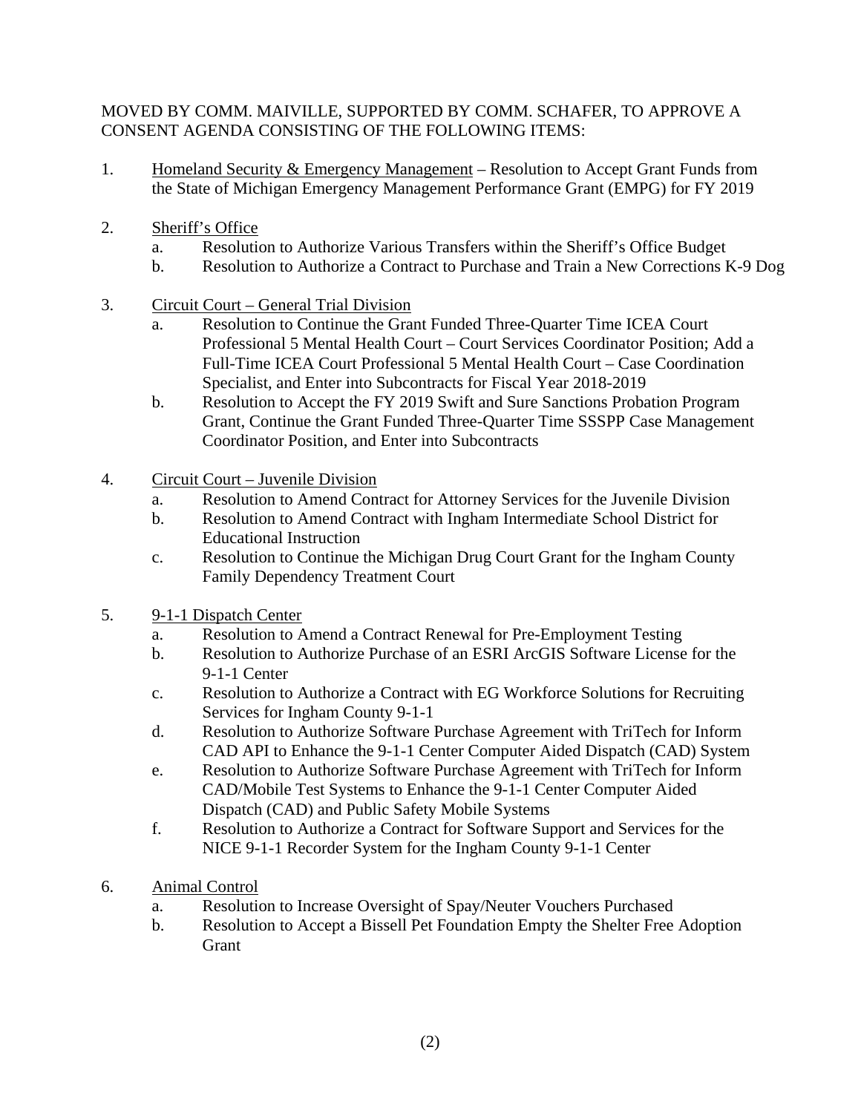### MOVED BY COMM. MAIVILLE, SUPPORTED BY COMM. SCHAFER, TO APPROVE A CONSENT AGENDA CONSISTING OF THE FOLLOWING ITEMS:

- 1. Homeland Security & Emergency Management Resolution to Accept Grant Funds from the State of Michigan Emergency Management Performance Grant (EMPG) for FY 2019
- 2. Sheriff's Office
	- a. Resolution to Authorize Various Transfers within the Sheriff's Office Budget
	- b. Resolution to Authorize a Contract to Purchase and Train a New Corrections K-9 Dog
- 3. Circuit Court General Trial Division
	- a. Resolution to Continue the Grant Funded Three-Quarter Time ICEA Court Professional 5 Mental Health Court – Court Services Coordinator Position; Add a Full-Time ICEA Court Professional 5 Mental Health Court – Case Coordination Specialist, and Enter into Subcontracts for Fiscal Year 2018-2019
	- b. Resolution to Accept the FY 2019 Swift and Sure Sanctions Probation Program Grant, Continue the Grant Funded Three-Quarter Time SSSPP Case Management Coordinator Position, and Enter into Subcontracts
- 4. Circuit Court Juvenile Division
	- a. Resolution to Amend Contract for Attorney Services for the Juvenile Division
	- b. Resolution to Amend Contract with Ingham Intermediate School District for Educational Instruction
	- c. Resolution to Continue the Michigan Drug Court Grant for the Ingham County Family Dependency Treatment Court
- 5. 9-1-1 Dispatch Center
	- a. Resolution to Amend a Contract Renewal for Pre-Employment Testing
	- b. Resolution to Authorize Purchase of an ESRI ArcGIS Software License for the 9-1-1 Center
	- c. Resolution to Authorize a Contract with EG Workforce Solutions for Recruiting Services for Ingham County 9-1-1
	- d. Resolution to Authorize Software Purchase Agreement with TriTech for Inform CAD API to Enhance the 9-1-1 Center Computer Aided Dispatch (CAD) System
	- e. Resolution to Authorize Software Purchase Agreement with TriTech for Inform CAD/Mobile Test Systems to Enhance the 9-1-1 Center Computer Aided Dispatch (CAD) and Public Safety Mobile Systems
	- f. Resolution to Authorize a Contract for Software Support and Services for the NICE 9-1-1 Recorder System for the Ingham County 9-1-1 Center
- 6. Animal Control
	- a. Resolution to Increase Oversight of Spay/Neuter Vouchers Purchased
	- b. Resolution to Accept a Bissell Pet Foundation Empty the Shelter Free Adoption Grant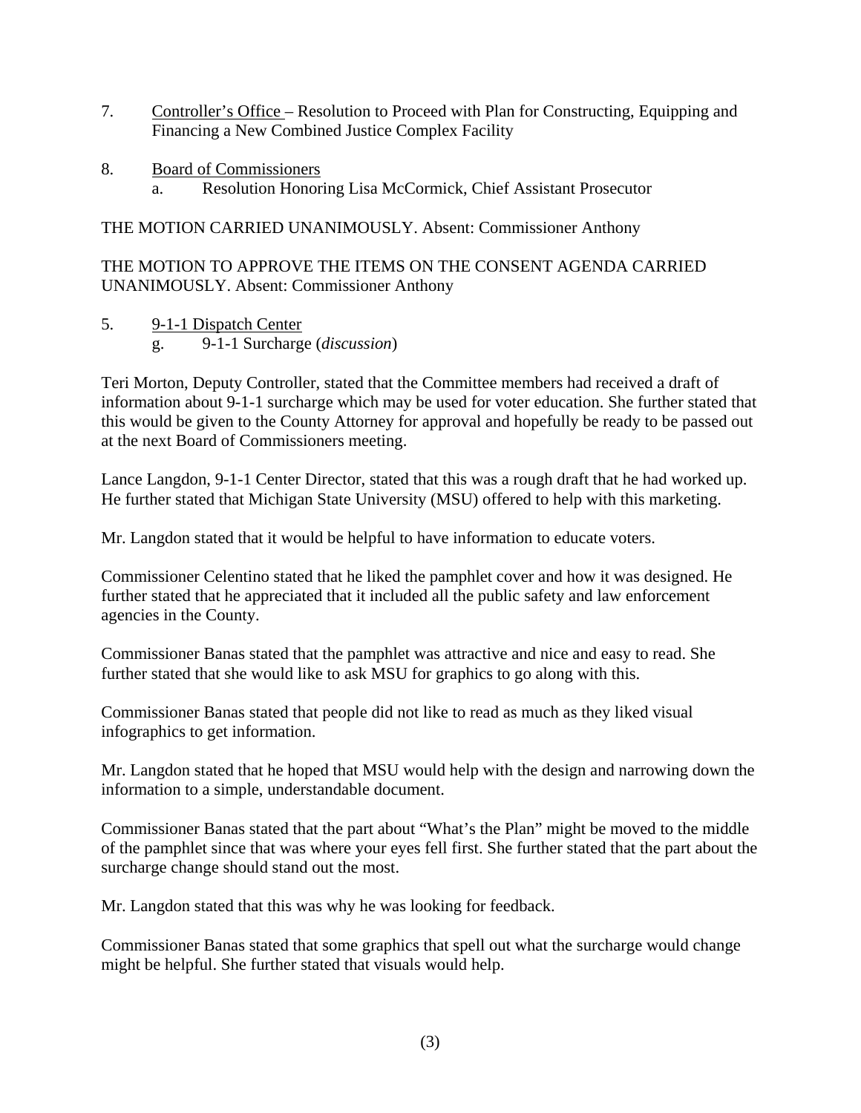- 7. Controller's Office Resolution to Proceed with Plan for Constructing, Equipping and Financing a New Combined Justice Complex Facility
- 8. Board of Commissioners a. Resolution Honoring Lisa McCormick, Chief Assistant Prosecutor

THE MOTION CARRIED UNANIMOUSLY. Absent: Commissioner Anthony

THE MOTION TO APPROVE THE ITEMS ON THE CONSENT AGENDA CARRIED UNANIMOUSLY. Absent: Commissioner Anthony

5. 9-1-1 Dispatch Center

g. 9-1-1 Surcharge (*discussion*)

Teri Morton, Deputy Controller, stated that the Committee members had received a draft of information about 9-1-1 surcharge which may be used for voter education. She further stated that this would be given to the County Attorney for approval and hopefully be ready to be passed out at the next Board of Commissioners meeting.

Lance Langdon, 9-1-1 Center Director, stated that this was a rough draft that he had worked up. He further stated that Michigan State University (MSU) offered to help with this marketing.

Mr. Langdon stated that it would be helpful to have information to educate voters.

Commissioner Celentino stated that he liked the pamphlet cover and how it was designed. He further stated that he appreciated that it included all the public safety and law enforcement agencies in the County.

Commissioner Banas stated that the pamphlet was attractive and nice and easy to read. She further stated that she would like to ask MSU for graphics to go along with this.

Commissioner Banas stated that people did not like to read as much as they liked visual infographics to get information.

Mr. Langdon stated that he hoped that MSU would help with the design and narrowing down the information to a simple, understandable document.

Commissioner Banas stated that the part about "What's the Plan" might be moved to the middle of the pamphlet since that was where your eyes fell first. She further stated that the part about the surcharge change should stand out the most.

Mr. Langdon stated that this was why he was looking for feedback.

Commissioner Banas stated that some graphics that spell out what the surcharge would change might be helpful. She further stated that visuals would help.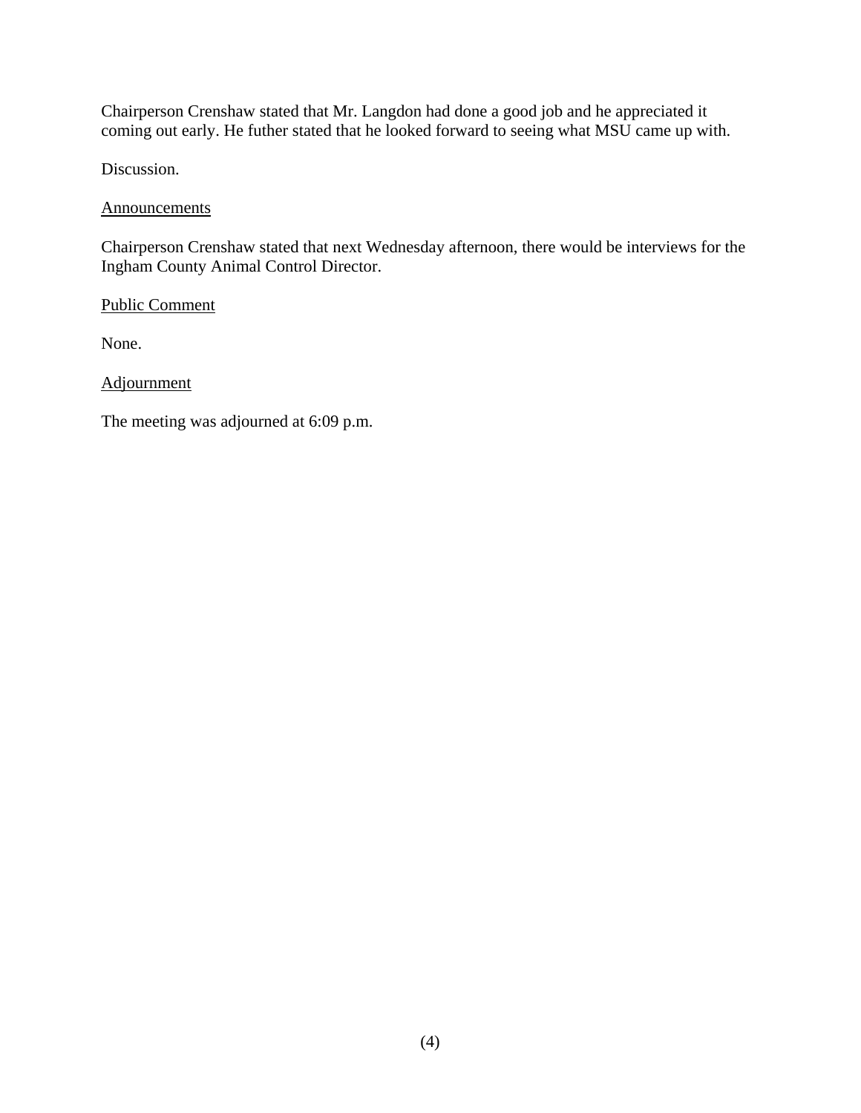Chairperson Crenshaw stated that Mr. Langdon had done a good job and he appreciated it coming out early. He futher stated that he looked forward to seeing what MSU came up with.

Discussion.

#### Announcements

Chairperson Crenshaw stated that next Wednesday afternoon, there would be interviews for the Ingham County Animal Control Director.

Public Comment

None.

Adjournment

The meeting was adjourned at 6:09 p.m.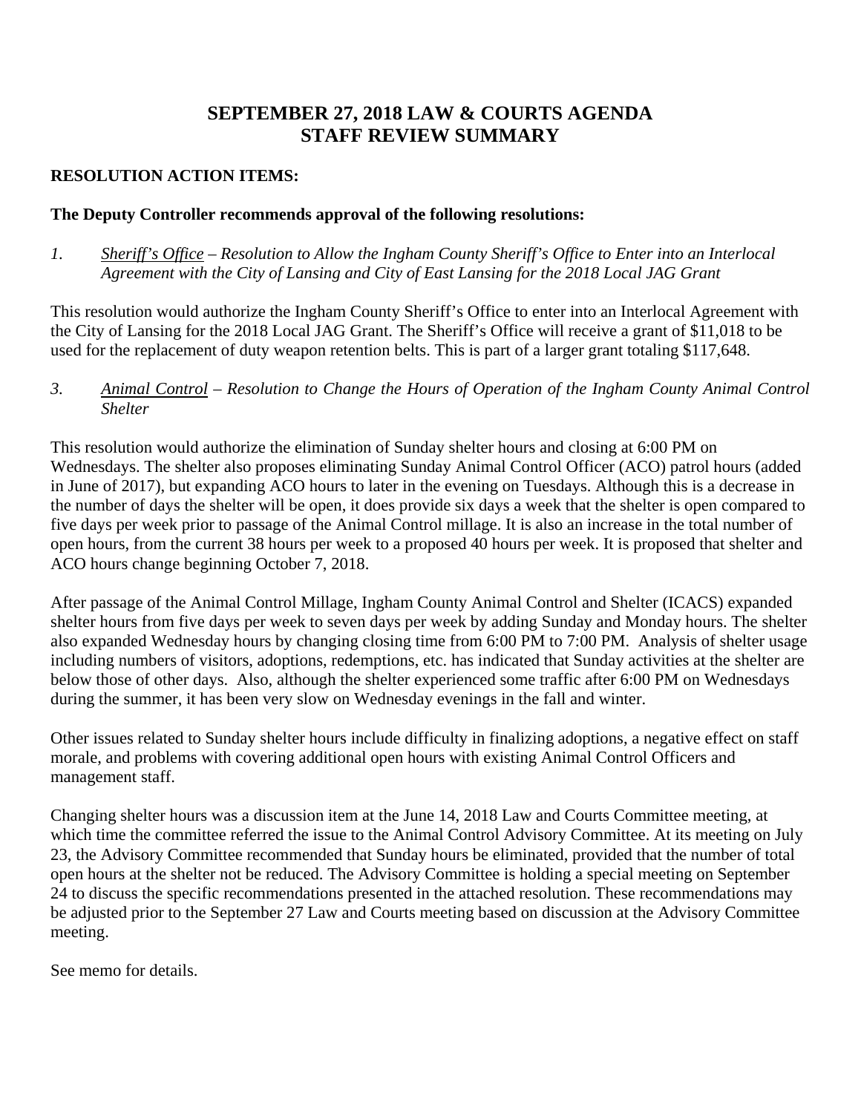# **SEPTEMBER 27, 2018 LAW & COURTS AGENDA STAFF REVIEW SUMMARY**

### **RESOLUTION ACTION ITEMS:**

#### **The Deputy Controller recommends approval of the following resolutions:**

*1. Sheriff's Office – Resolution to Allow the Ingham County Sheriff's Office to Enter into an Interlocal Agreement with the City of Lansing and City of East Lansing for the 2018 Local JAG Grant*

This resolution would authorize the Ingham County Sheriff's Office to enter into an Interlocal Agreement with the City of Lansing for the 2018 Local JAG Grant. The Sheriff's Office will receive a grant of \$11,018 to be used for the replacement of duty weapon retention belts. This is part of a larger grant totaling \$117,648.

*3. Animal Control – Resolution to Change the Hours of Operation of the Ingham County Animal Control Shelter* 

This resolution would authorize the elimination of Sunday shelter hours and closing at 6:00 PM on Wednesdays. The shelter also proposes eliminating Sunday Animal Control Officer (ACO) patrol hours (added in June of 2017), but expanding ACO hours to later in the evening on Tuesdays. Although this is a decrease in the number of days the shelter will be open, it does provide six days a week that the shelter is open compared to five days per week prior to passage of the Animal Control millage. It is also an increase in the total number of open hours, from the current 38 hours per week to a proposed 40 hours per week. It is proposed that shelter and ACO hours change beginning October 7, 2018.

After passage of the Animal Control Millage, Ingham County Animal Control and Shelter (ICACS) expanded shelter hours from five days per week to seven days per week by adding Sunday and Monday hours. The shelter also expanded Wednesday hours by changing closing time from 6:00 PM to 7:00 PM. Analysis of shelter usage including numbers of visitors, adoptions, redemptions, etc. has indicated that Sunday activities at the shelter are below those of other days. Also, although the shelter experienced some traffic after 6:00 PM on Wednesdays during the summer, it has been very slow on Wednesday evenings in the fall and winter.

Other issues related to Sunday shelter hours include difficulty in finalizing adoptions, a negative effect on staff morale, and problems with covering additional open hours with existing Animal Control Officers and management staff.

Changing shelter hours was a discussion item at the June 14, 2018 Law and Courts Committee meeting, at which time the committee referred the issue to the Animal Control Advisory Committee. At its meeting on July 23, the Advisory Committee recommended that Sunday hours be eliminated, provided that the number of total open hours at the shelter not be reduced. The Advisory Committee is holding a special meeting on September 24 to discuss the specific recommendations presented in the attached resolution. These recommendations may be adjusted prior to the September 27 Law and Courts meeting based on discussion at the Advisory Committee meeting.

See memo for details.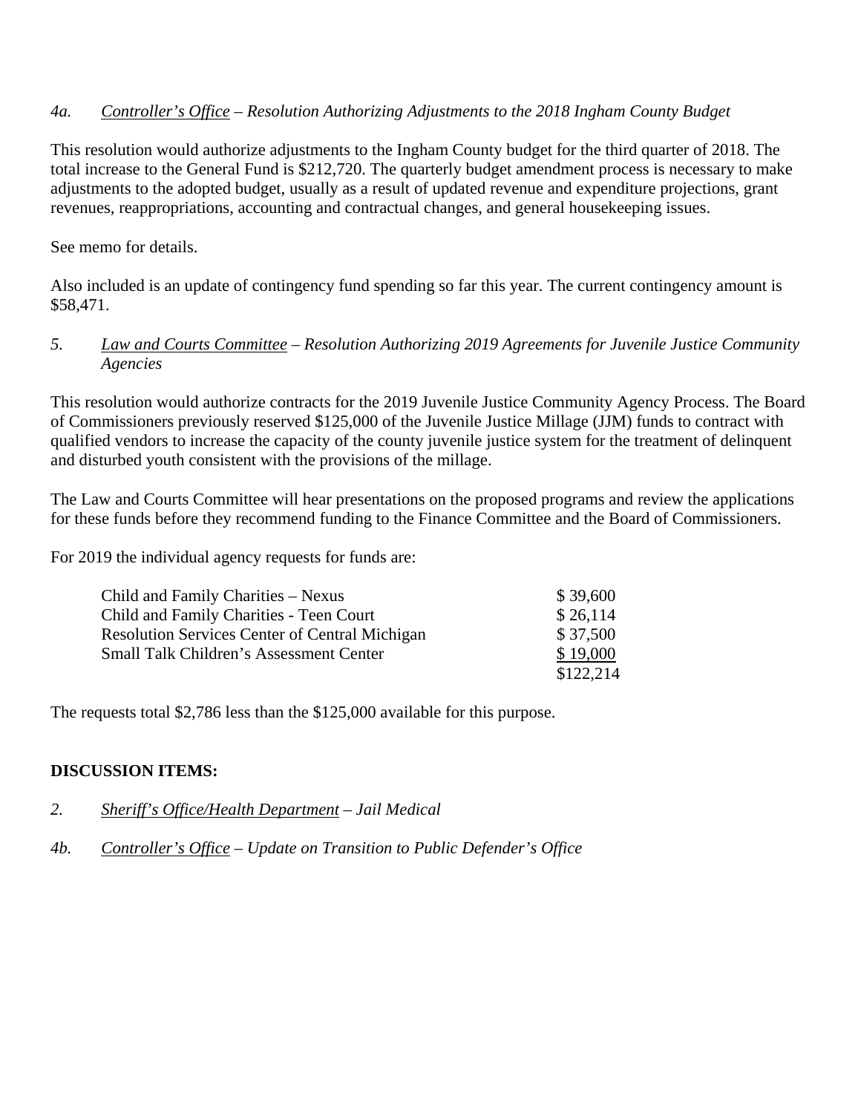### *4a. Controller's Office – Resolution Authorizing Adjustments to the 2018 Ingham County Budget*

This resolution would authorize adjustments to the Ingham County budget for the third quarter of 2018. The total increase to the General Fund is \$212,720. The quarterly budget amendment process is necessary to make adjustments to the adopted budget, usually as a result of updated revenue and expenditure projections, grant revenues, reappropriations, accounting and contractual changes, and general housekeeping issues.

See memo for details.

Also included is an update of contingency fund spending so far this year. The current contingency amount is \$58,471.

### *5. Law and Courts Committee – Resolution Authorizing 2019 Agreements for Juvenile Justice Community Agencies*

This resolution would authorize contracts for the 2019 Juvenile Justice Community Agency Process. The Board of Commissioners previously reserved \$125,000 of the Juvenile Justice Millage (JJM) funds to contract with qualified vendors to increase the capacity of the county juvenile justice system for the treatment of delinquent and disturbed youth consistent with the provisions of the millage.

The Law and Courts Committee will hear presentations on the proposed programs and review the applications for these funds before they recommend funding to the Finance Committee and the Board of Commissioners.

For 2019 the individual agency requests for funds are:

| Child and Family Charities – Nexus                    | \$39,600  |
|-------------------------------------------------------|-----------|
| Child and Family Charities - Teen Court               | \$26,114  |
| <b>Resolution Services Center of Central Michigan</b> | \$37,500  |
| <b>Small Talk Children's Assessment Center</b>        | \$19,000  |
|                                                       | \$122,214 |

The requests total \$2,786 less than the \$125,000 available for this purpose.

### **DISCUSSION ITEMS:**

#### *2. Sheriff's Office/Health Department – Jail Medical*

### *4b. Controller's Office – Update on Transition to Public Defender's Office*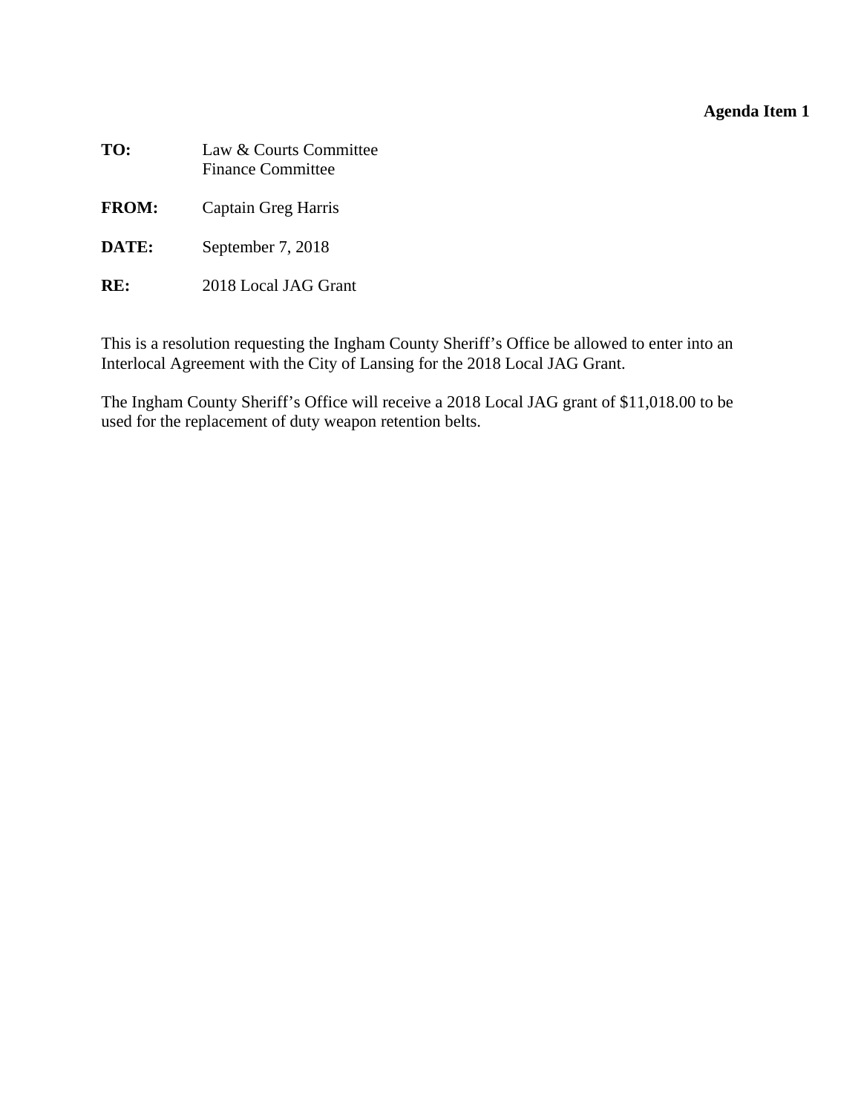### **Agenda Item 1**

<span id="page-7-0"></span>

| Law & Courts Committee<br><b>Finance Committee</b> |
|----------------------------------------------------|
| Captain Greg Harris                                |
| September 7, 2018                                  |
|                                                    |

**RE:** 2018 Local JAG Grant

This is a resolution requesting the Ingham County Sheriff's Office be allowed to enter into an Interlocal Agreement with the City of Lansing for the 2018 Local JAG Grant.

The Ingham County Sheriff's Office will receive a 2018 Local JAG grant of \$11,018.00 to be used for the replacement of duty weapon retention belts.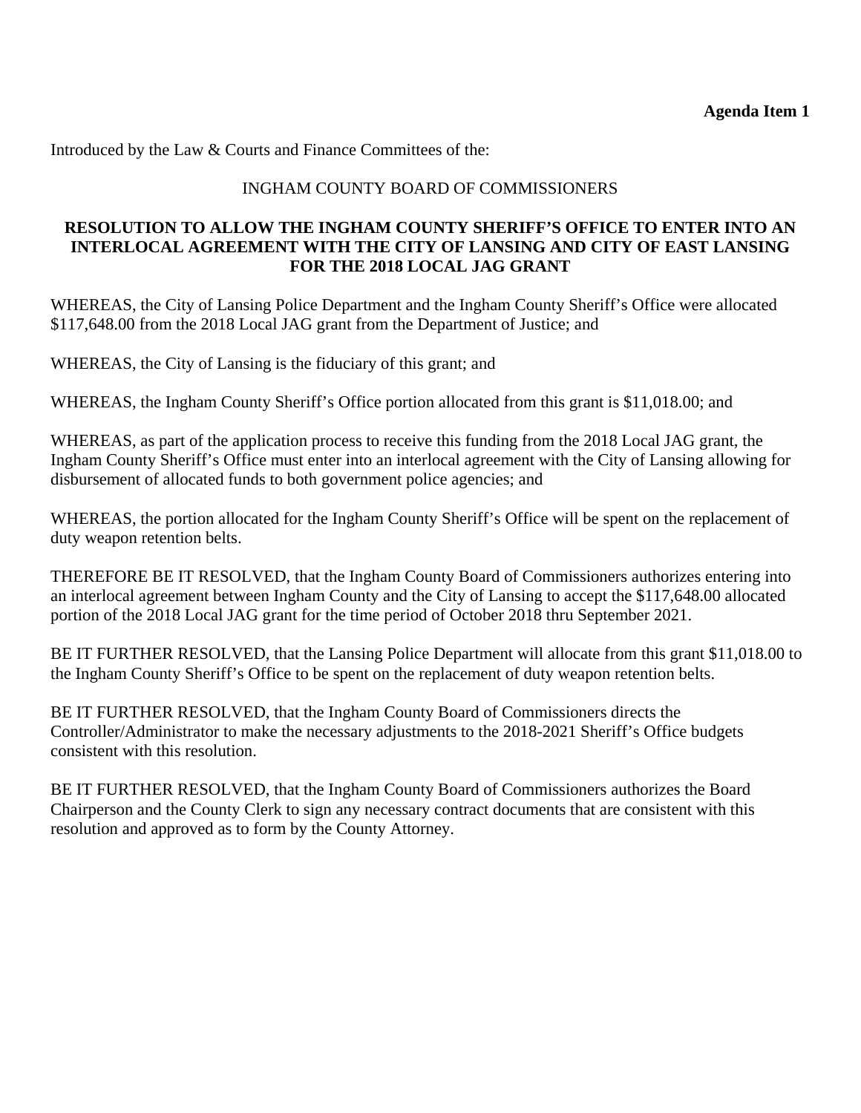Introduced by the Law & Courts and Finance Committees of the:

### INGHAM COUNTY BOARD OF COMMISSIONERS

### **RESOLUTION TO ALLOW THE INGHAM COUNTY SHERIFF'S OFFICE TO ENTER INTO AN INTERLOCAL AGREEMENT WITH THE CITY OF LANSING AND CITY OF EAST LANSING FOR THE 2018 LOCAL JAG GRANT**

WHEREAS, the City of Lansing Police Department and the Ingham County Sheriff's Office were allocated \$117,648.00 from the 2018 Local JAG grant from the Department of Justice; and

WHEREAS, the City of Lansing is the fiduciary of this grant; and

WHEREAS, the Ingham County Sheriff's Office portion allocated from this grant is \$11,018.00; and

WHEREAS, as part of the application process to receive this funding from the 2018 Local JAG grant, the Ingham County Sheriff's Office must enter into an interlocal agreement with the City of Lansing allowing for disbursement of allocated funds to both government police agencies; and

WHEREAS, the portion allocated for the Ingham County Sheriff's Office will be spent on the replacement of duty weapon retention belts.

THEREFORE BE IT RESOLVED, that the Ingham County Board of Commissioners authorizes entering into an interlocal agreement between Ingham County and the City of Lansing to accept the \$117,648.00 allocated portion of the 2018 Local JAG grant for the time period of October 2018 thru September 2021.

BE IT FURTHER RESOLVED, that the Lansing Police Department will allocate from this grant \$11,018.00 to the Ingham County Sheriff's Office to be spent on the replacement of duty weapon retention belts.

BE IT FURTHER RESOLVED, that the Ingham County Board of Commissioners directs the Controller/Administrator to make the necessary adjustments to the 2018-2021 Sheriff's Office budgets consistent with this resolution.

BE IT FURTHER RESOLVED, that the Ingham County Board of Commissioners authorizes the Board Chairperson and the County Clerk to sign any necessary contract documents that are consistent with this resolution and approved as to form by the County Attorney.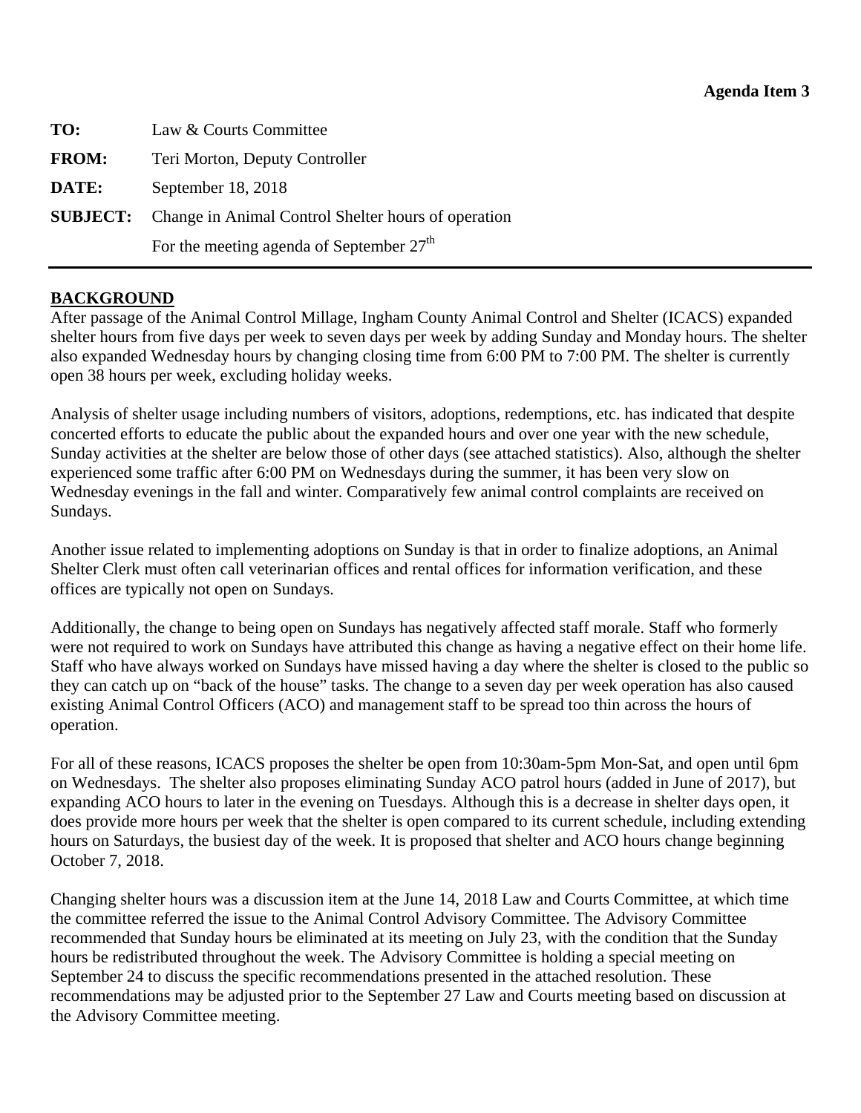<span id="page-9-0"></span>

| TO:          | Law & Courts Committee                                              |
|--------------|---------------------------------------------------------------------|
| <b>FROM:</b> | Teri Morton, Deputy Controller                                      |
| DATE:        | September 18, 2018                                                  |
|              | <b>SUBJECT:</b> Change in Animal Control Shelter hours of operation |
|              | For the meeting agenda of September 27 <sup>th</sup>                |

### **BACKGROUND**

After passage of the Animal Control Millage, Ingham County Animal Control and Shelter (ICACS) expanded shelter hours from five days per week to seven days per week by adding Sunday and Monday hours. The shelter also expanded Wednesday hours by changing closing time from 6:00 PM to 7:00 PM. The shelter is currently open 38 hours per week, excluding holiday weeks.

Analysis of shelter usage including numbers of visitors, adoptions, redemptions, etc. has indicated that despite concerted efforts to educate the public about the expanded hours and over one year with the new schedule, Sunday activities at the shelter are below those of other days (see attached statistics). Also, although the shelter experienced some traffic after 6:00 PM on Wednesdays during the summer, it has been very slow on Wednesday evenings in the fall and winter. Comparatively few animal control complaints are received on Sundays.

Another issue related to implementing adoptions on Sunday is that in order to finalize adoptions, an Animal Shelter Clerk must often call veterinarian offices and rental offices for information verification, and these offices are typically not open on Sundays.

Additionally, the change to being open on Sundays has negatively affected staff morale. Staff who formerly were not required to work on Sundays have attributed this change as having a negative effect on their home life. Staff who have always worked on Sundays have missed having a day where the shelter is closed to the public so they can catch up on "back of the house" tasks. The change to a seven day per week operation has also caused existing Animal Control Officers (ACO) and management staff to be spread too thin across the hours of operation.

For all of these reasons, ICACS proposes the shelter be open from 10:30am-5pm Mon-Sat, and open until 6pm on Wednesdays. The shelter also proposes eliminating Sunday ACO patrol hours (added in June of 2017), but expanding ACO hours to later in the evening on Tuesdays. Although this is a decrease in shelter days open, it does provide more hours per week that the shelter is open compared to its current schedule, including extending hours on Saturdays, the busiest day of the week. It is proposed that shelter and ACO hours change beginning October 7, 2018.

Changing shelter hours was a discussion item at the June 14, 2018 Law and Courts Committee, at which time the committee referred the issue to the Animal Control Advisory Committee. The Advisory Committee recommended that Sunday hours be eliminated at its meeting on July 23, with the condition that the Sunday hours be redistributed throughout the week. The Advisory Committee is holding a special meeting on September 24 to discuss the specific recommendations presented in the attached resolution. These recommendations may be adjusted prior to the September 27 Law and Courts meeting based on discussion at the Advisory Committee meeting.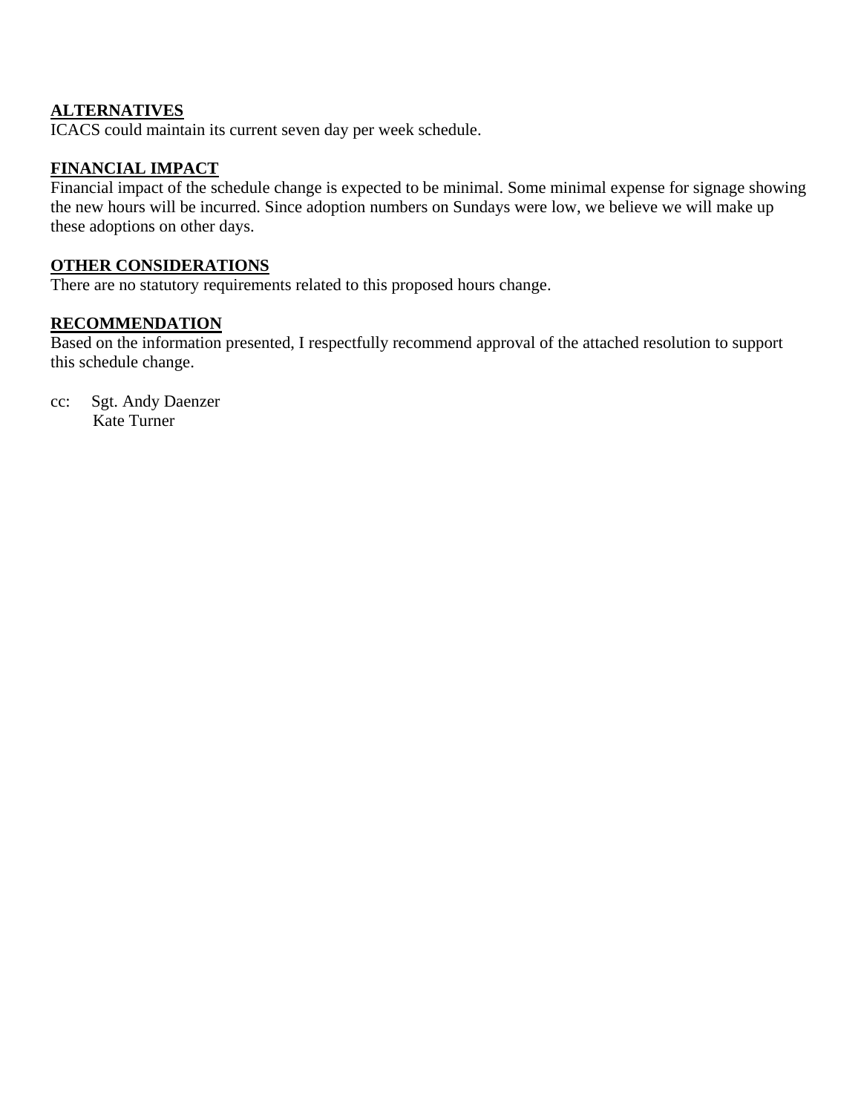### **ALTERNATIVES**

ICACS could maintain its current seven day per week schedule.

## **FINANCIAL IMPACT**

Financial impact of the schedule change is expected to be minimal. Some minimal expense for signage showing the new hours will be incurred. Since adoption numbers on Sundays were low, we believe we will make up these adoptions on other days.

#### **OTHER CONSIDERATIONS**

There are no statutory requirements related to this proposed hours change.

#### **RECOMMENDATION**

Based on the information presented, I respectfully recommend approval of the attached resolution to support this schedule change.

cc: Sgt. Andy Daenzer Kate Turner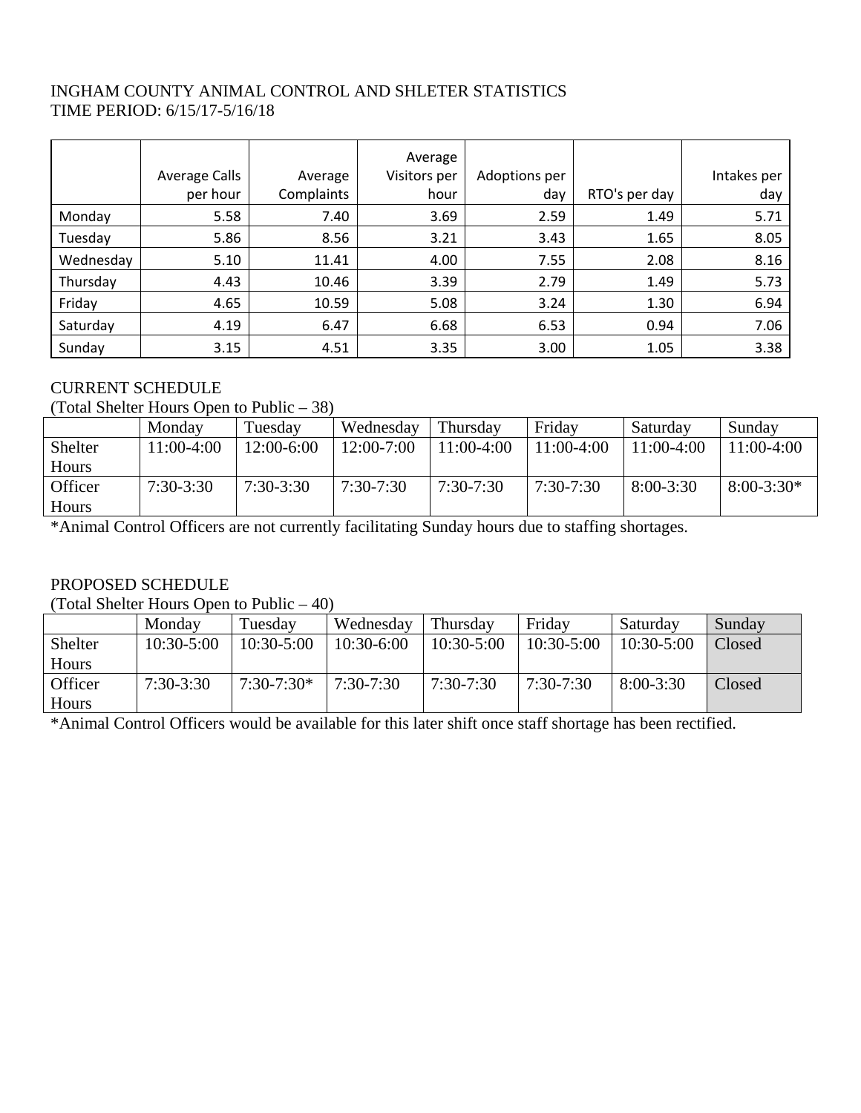### INGHAM COUNTY ANIMAL CONTROL AND SHLETER STATISTICS TIME PERIOD: 6/15/17-5/16/18

|           |               |            | Average      |               |               |             |
|-----------|---------------|------------|--------------|---------------|---------------|-------------|
|           | Average Calls | Average    | Visitors per | Adoptions per |               | Intakes per |
|           | per hour      | Complaints | hour         | day           | RTO's per day | day         |
| Monday    | 5.58          | 7.40       | 3.69         | 2.59          | 1.49          | 5.71        |
| Tuesday   | 5.86          | 8.56       | 3.21         | 3.43          | 1.65          | 8.05        |
| Wednesday | 5.10          | 11.41      | 4.00         | 7.55          | 2.08          | 8.16        |
| Thursday  | 4.43          | 10.46      | 3.39         | 2.79          | 1.49          | 5.73        |
| Friday    | 4.65          | 10.59      | 5.08         | 3.24          | 1.30          | 6.94        |
| Saturday  | 4.19          | 6.47       | 6.68         | 6.53          | 0.94          | 7.06        |
| Sunday    | 3.15          | 4.51       | 3.35         | 3.00          | 1.05          | 3.38        |

### CURRENT SCHEDULE

#### (Total Shelter Hours Open to Public – 38)

|         | Monday      | Tuesday     | Wednesday      | Thursday     | Friday       | Saturday    | Sunday       |
|---------|-------------|-------------|----------------|--------------|--------------|-------------|--------------|
| Shelter | 11:00-4:00  | 12:00-6:00  | $12:00 - 7:00$ | $11:00-4:00$ | $11:00-4:00$ | 11:00-4:00  | $1:00-4:00$  |
| Hours   |             |             |                |              |              |             |              |
| Officer | $7:30-3:30$ | $7:30-3:30$ | $7:30-7:30$    | $7:30-7:30$  | $7:30-7:30$  | $8:00-3:30$ | $8:00-3:30*$ |
| Hours   |             |             |                |              |              |             |              |

\*Animal Control Officers are not currently facilitating Sunday hours due to staffing shortages.

### PROPOSED SCHEDULE

(Total Shelter Hours Open to Public – 40)

|         | Monday       | Tuesday        | Wednesday    | Thursday       | Friday       | Saturday       | Sunday |
|---------|--------------|----------------|--------------|----------------|--------------|----------------|--------|
| Shelter | $10:30-5:00$ | $10:30 - 5:00$ | $10:30-6:00$ | $10:30 - 5:00$ | $10:30-5:00$ | $10:30 - 5:00$ | Closed |
| Hours   |              |                |              |                |              |                |        |
| Officer | $7:30-3:30$  | $7:30-7:30*$   | 7:30-7:30    | $7:30-7:30$    | $7:30-7:30$  | $8:00 - 3:30$  | Closed |
| Hours   |              |                |              |                |              |                |        |

\*Animal Control Officers would be available for this later shift once staff shortage has been rectified.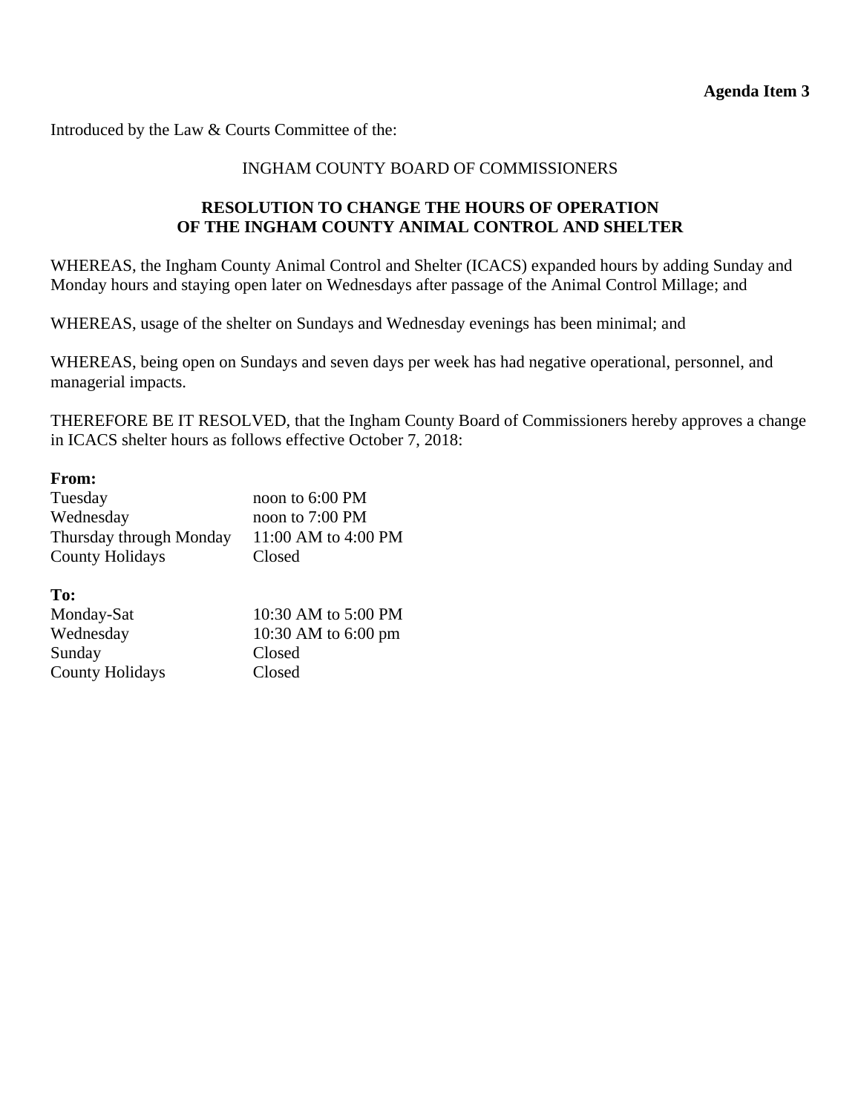Introduced by the Law & Courts Committee of the:

#### INGHAM COUNTY BOARD OF COMMISSIONERS

### **RESOLUTION TO CHANGE THE HOURS OF OPERATION OF THE INGHAM COUNTY ANIMAL CONTROL AND SHELTER**

WHEREAS, the Ingham County Animal Control and Shelter (ICACS) expanded hours by adding Sunday and Monday hours and staying open later on Wednesdays after passage of the Animal Control Millage; and

WHEREAS, usage of the shelter on Sundays and Wednesday evenings has been minimal; and

WHEREAS, being open on Sundays and seven days per week has had negative operational, personnel, and managerial impacts.

THEREFORE BE IT RESOLVED, that the Ingham County Board of Commissioners hereby approves a change in ICACS shelter hours as follows effective October 7, 2018:

#### **From:**

| Tuesday                 | noon to 6:00 PM           |
|-------------------------|---------------------------|
| Wednesday               | noon to $7:00 \text{ PM}$ |
| Thursday through Monday | 11:00 AM to 4:00 PM       |
| <b>County Holidays</b>  | Closed                    |

**To:** 

| Monday-Sat             | 10:30 AM to 5:00 PM           |
|------------------------|-------------------------------|
| Wednesday              | 10:30 AM to $6:00 \text{ pm}$ |
| Sunday                 | Closed                        |
| <b>County Holidays</b> | Closed                        |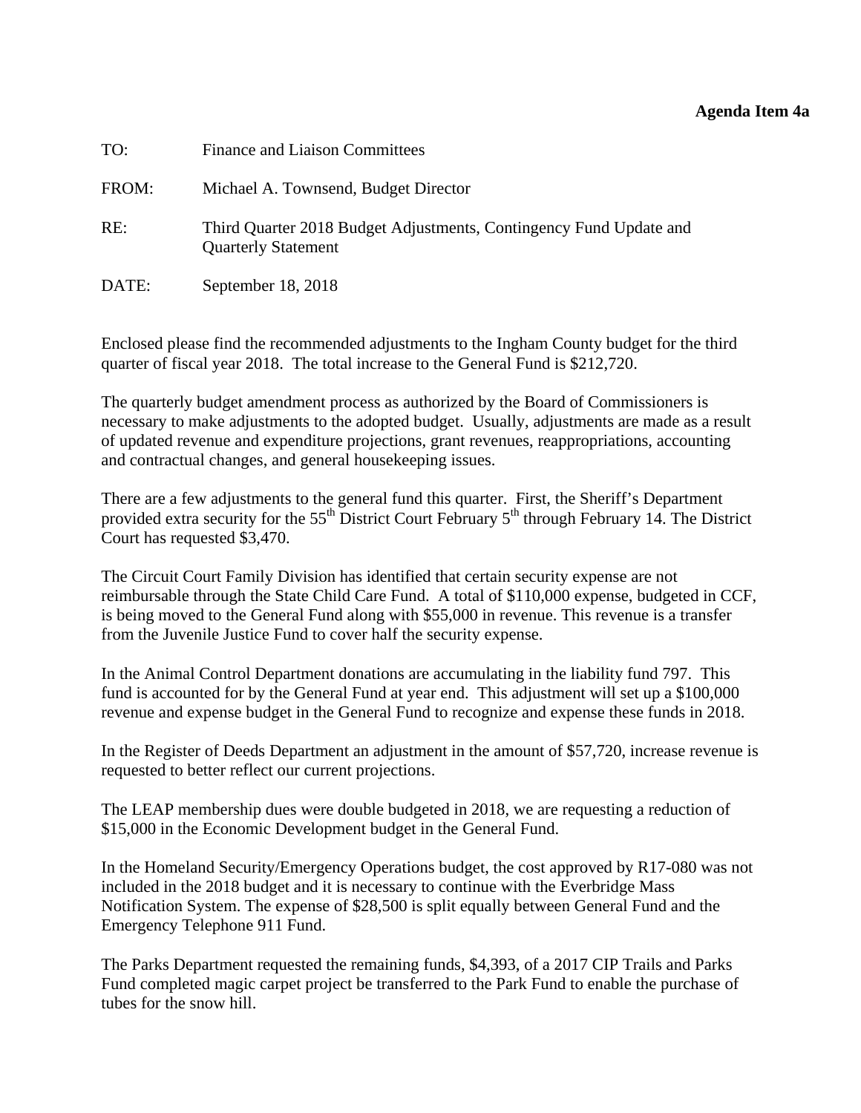#### **Agenda Item 4a**

<span id="page-13-0"></span>

| TO:   | <b>Finance and Liaison Committees</b>                                                            |
|-------|--------------------------------------------------------------------------------------------------|
| FROM: | Michael A. Townsend, Budget Director                                                             |
| RE:   | Third Quarter 2018 Budget Adjustments, Contingency Fund Update and<br><b>Quarterly Statement</b> |
| DATE: | September 18, 2018                                                                               |

Enclosed please find the recommended adjustments to the Ingham County budget for the third quarter of fiscal year 2018. The total increase to the General Fund is \$212,720.

The quarterly budget amendment process as authorized by the Board of Commissioners is necessary to make adjustments to the adopted budget. Usually, adjustments are made as a result of updated revenue and expenditure projections, grant revenues, reappropriations, accounting and contractual changes, and general housekeeping issues.

There are a few adjustments to the general fund this quarter. First, the Sheriff's Department provided extra security for the 55<sup>th</sup> District Court February 5<sup>th</sup> through February 14. The District Court has requested \$3,470.

The Circuit Court Family Division has identified that certain security expense are not reimbursable through the State Child Care Fund. A total of \$110,000 expense, budgeted in CCF, is being moved to the General Fund along with \$55,000 in revenue. This revenue is a transfer from the Juvenile Justice Fund to cover half the security expense.

In the Animal Control Department donations are accumulating in the liability fund 797. This fund is accounted for by the General Fund at year end. This adjustment will set up a \$100,000 revenue and expense budget in the General Fund to recognize and expense these funds in 2018.

In the Register of Deeds Department an adjustment in the amount of \$57,720, increase revenue is requested to better reflect our current projections.

The LEAP membership dues were double budgeted in 2018, we are requesting a reduction of \$15,000 in the Economic Development budget in the General Fund.

In the Homeland Security/Emergency Operations budget, the cost approved by R17-080 was not included in the 2018 budget and it is necessary to continue with the Everbridge Mass Notification System. The expense of \$28,500 is split equally between General Fund and the Emergency Telephone 911 Fund.

The Parks Department requested the remaining funds, \$4,393, of a 2017 CIP Trails and Parks Fund completed magic carpet project be transferred to the Park Fund to enable the purchase of tubes for the snow hill.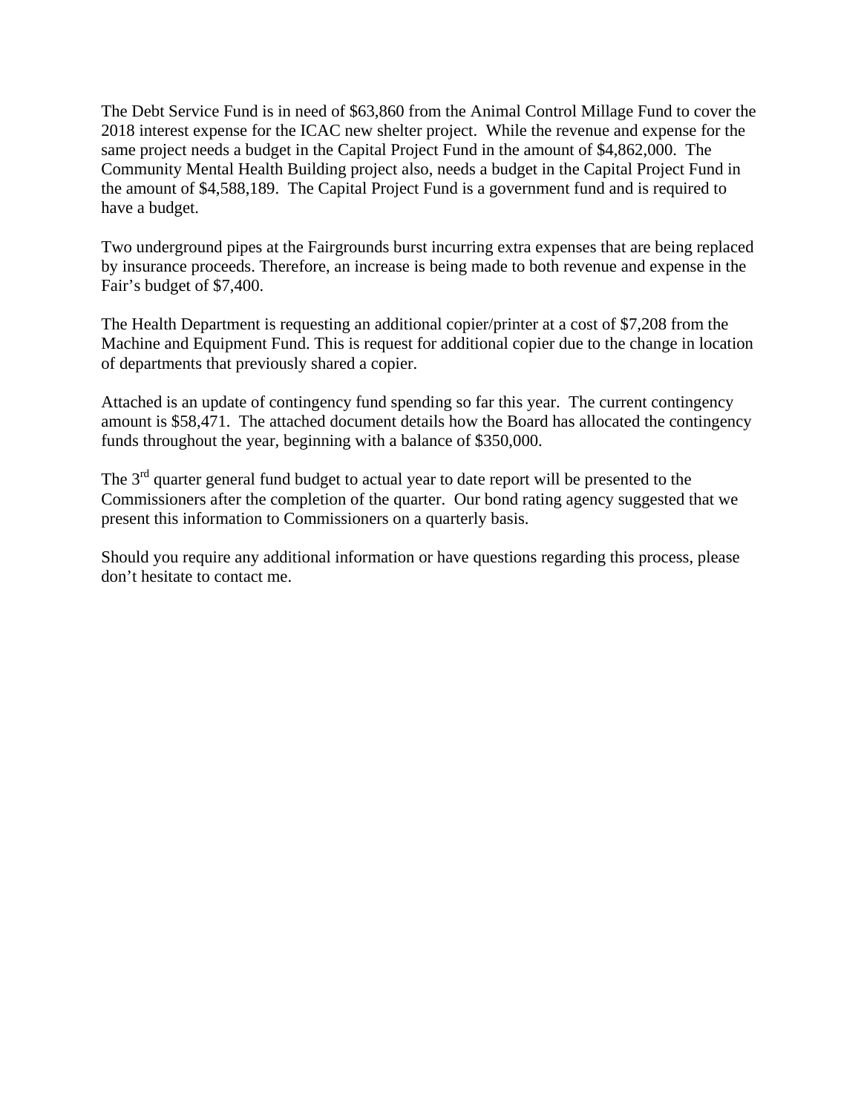The Debt Service Fund is in need of \$63,860 from the Animal Control Millage Fund to cover the 2018 interest expense for the ICAC new shelter project. While the revenue and expense for the same project needs a budget in the Capital Project Fund in the amount of \$4,862,000. The Community Mental Health Building project also, needs a budget in the Capital Project Fund in the amount of \$4,588,189. The Capital Project Fund is a government fund and is required to have a budget.

Two underground pipes at the Fairgrounds burst incurring extra expenses that are being replaced by insurance proceeds. Therefore, an increase is being made to both revenue and expense in the Fair's budget of \$7,400.

The Health Department is requesting an additional copier/printer at a cost of \$7,208 from the Machine and Equipment Fund. This is request for additional copier due to the change in location of departments that previously shared a copier.

Attached is an update of contingency fund spending so far this year. The current contingency amount is \$58,471. The attached document details how the Board has allocated the contingency funds throughout the year, beginning with a balance of \$350,000.

The  $3<sup>rd</sup>$  quarter general fund budget to actual year to date report will be presented to the Commissioners after the completion of the quarter. Our bond rating agency suggested that we present this information to Commissioners on a quarterly basis.

Should you require any additional information or have questions regarding this process, please don't hesitate to contact me.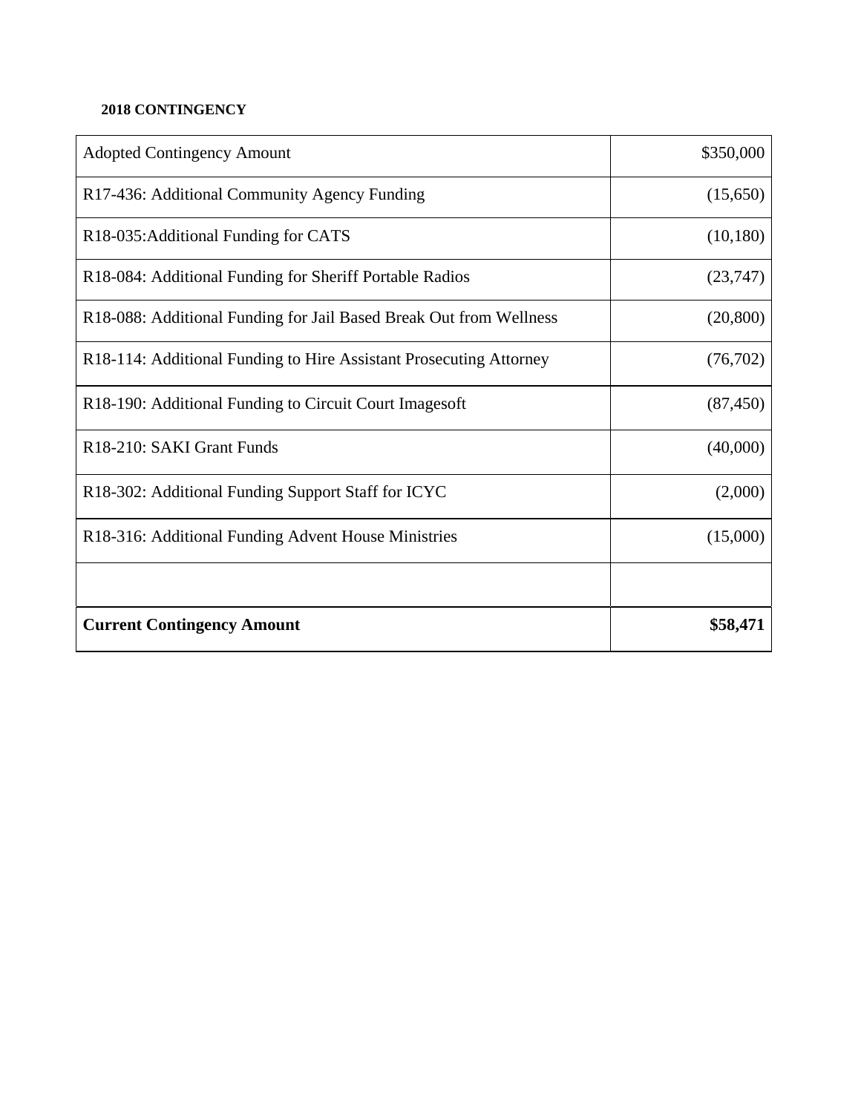### **2018 CONTINGENCY**

| <b>Adopted Contingency Amount</b>                                  | \$350,000 |
|--------------------------------------------------------------------|-----------|
| R17-436: Additional Community Agency Funding                       | (15,650)  |
| R18-035: Additional Funding for CATS                               | (10, 180) |
| R18-084: Additional Funding for Sheriff Portable Radios            | (23,747)  |
| R18-088: Additional Funding for Jail Based Break Out from Wellness | (20, 800) |
| R18-114: Additional Funding to Hire Assistant Prosecuting Attorney | (76, 702) |
| R18-190: Additional Funding to Circuit Court Images oft            | (87, 450) |
| R <sub>18</sub> -210: SAKI Grant Funds                             | (40,000)  |
| R18-302: Additional Funding Support Staff for ICYC                 | (2,000)   |
| R18-316: Additional Funding Advent House Ministries                | (15,000)  |
|                                                                    |           |
| <b>Current Contingency Amount</b>                                  | \$58,471  |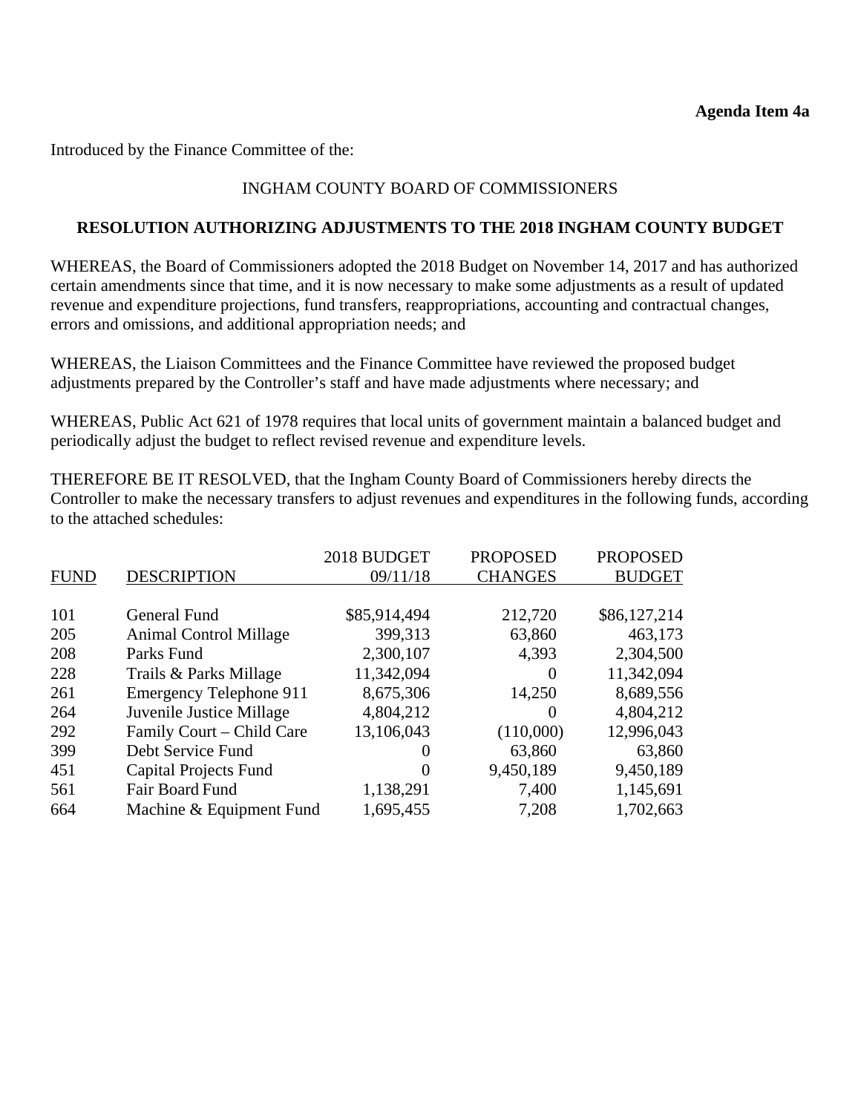Introduced by the Finance Committee of the:

### INGHAM COUNTY BOARD OF COMMISSIONERS

#### **RESOLUTION AUTHORIZING ADJUSTMENTS TO THE 2018 INGHAM COUNTY BUDGET**

WHEREAS, the Board of Commissioners adopted the 2018 Budget on November 14, 2017 and has authorized certain amendments since that time, and it is now necessary to make some adjustments as a result of updated revenue and expenditure projections, fund transfers, reappropriations, accounting and contractual changes, errors and omissions, and additional appropriation needs; and

WHEREAS, the Liaison Committees and the Finance Committee have reviewed the proposed budget adjustments prepared by the Controller's staff and have made adjustments where necessary; and

WHEREAS, Public Act 621 of 1978 requires that local units of government maintain a balanced budget and periodically adjust the budget to reflect revised revenue and expenditure levels.

THEREFORE BE IT RESOLVED, that the Ingham County Board of Commissioners hereby directs the Controller to make the necessary transfers to adjust revenues and expenditures in the following funds, according to the attached schedules:

|             |                                | 2018 BUDGET  | <b>PROPOSED</b> | <b>PROPOSED</b> |
|-------------|--------------------------------|--------------|-----------------|-----------------|
| <b>FUND</b> | <b>DESCRIPTION</b>             | 09/11/18     | <b>CHANGES</b>  | <b>BUDGET</b>   |
|             |                                |              |                 |                 |
| 101         | General Fund                   | \$85,914,494 | 212,720         | \$86,127,214    |
| 205         | <b>Animal Control Millage</b>  | 399,313      | 63,860          | 463,173         |
| 208         | Parks Fund                     | 2,300,107    | 4,393           | 2,304,500       |
| 228         | Trails & Parks Millage         | 11,342,094   | $\Omega$        | 11,342,094      |
| 261         | <b>Emergency Telephone 911</b> | 8,675,306    | 14,250          | 8,689,556       |
| 264         | Juvenile Justice Millage       | 4,804,212    | $\theta$        | 4,804,212       |
| 292         | Family Court - Child Care      | 13,106,043   | (110,000)       | 12,996,043      |
| 399         | Debt Service Fund              | 0            | 63,860          | 63,860          |
| 451         | Capital Projects Fund          | $\theta$     | 9,450,189       | 9,450,189       |
| 561         | <b>Fair Board Fund</b>         | 1,138,291    | 7,400           | 1,145,691       |
| 664         | Machine & Equipment Fund       | 1,695,455    | 7,208           | 1,702,663       |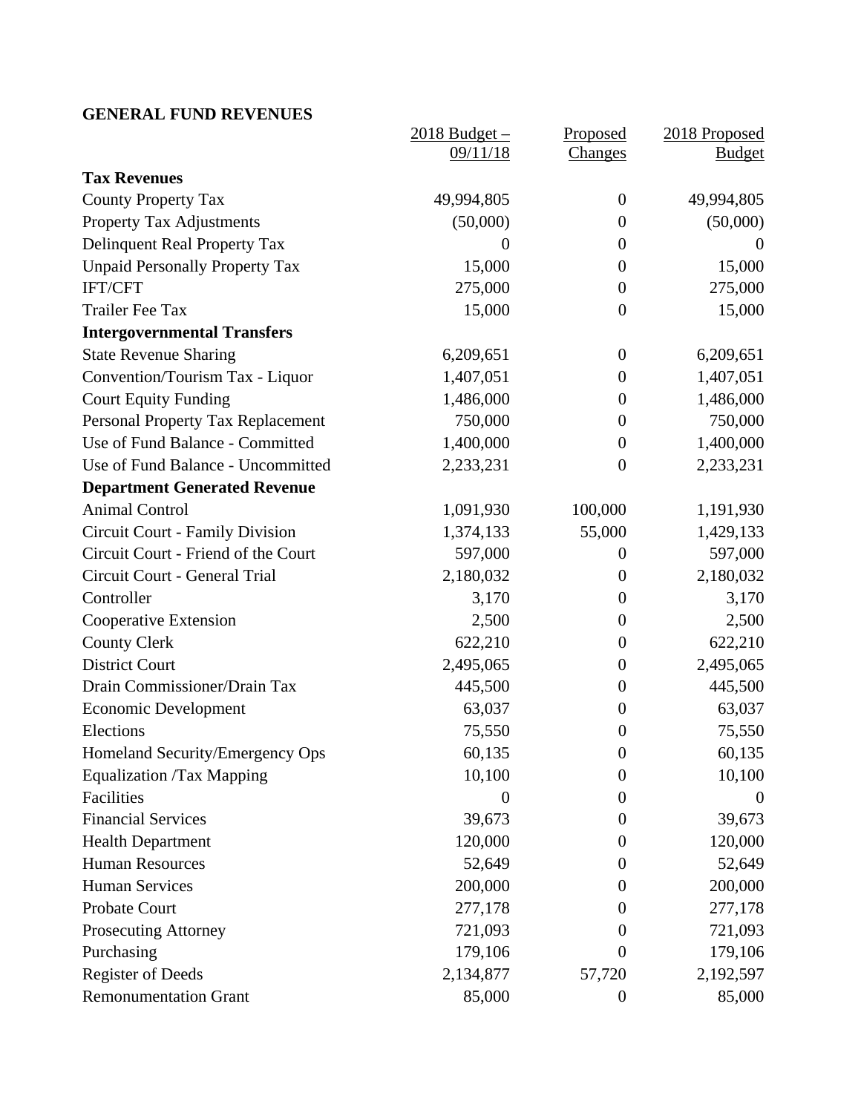### **GENERAL FUND REVENUES**

|                                        | $2018$ Budget $-$ | Proposed         | 2018 Proposed |
|----------------------------------------|-------------------|------------------|---------------|
|                                        | 09/11/18          | <b>Changes</b>   | <b>Budget</b> |
| <b>Tax Revenues</b>                    |                   |                  |               |
| <b>County Property Tax</b>             | 49,994,805        | $\overline{0}$   | 49,994,805    |
| <b>Property Tax Adjustments</b>        | (50,000)          | $\overline{0}$   | (50,000)      |
| Delinquent Real Property Tax           | $\boldsymbol{0}$  | $\boldsymbol{0}$ | $\theta$      |
| <b>Unpaid Personally Property Tax</b>  | 15,000            | $\boldsymbol{0}$ | 15,000        |
| IFT/CFT                                | 275,000           | $\overline{0}$   | 275,000       |
| <b>Trailer Fee Tax</b>                 | 15,000            | $\boldsymbol{0}$ | 15,000        |
| <b>Intergovernmental Transfers</b>     |                   |                  |               |
| <b>State Revenue Sharing</b>           | 6,209,651         | $\overline{0}$   | 6,209,651     |
| Convention/Tourism Tax - Liquor        | 1,407,051         | $\boldsymbol{0}$ | 1,407,051     |
| <b>Court Equity Funding</b>            | 1,486,000         | $\boldsymbol{0}$ | 1,486,000     |
| Personal Property Tax Replacement      | 750,000           | $\boldsymbol{0}$ | 750,000       |
| Use of Fund Balance - Committed        | 1,400,000         | $\overline{0}$   | 1,400,000     |
| Use of Fund Balance - Uncommitted      | 2,233,231         | $\theta$         | 2,233,231     |
| <b>Department Generated Revenue</b>    |                   |                  |               |
| <b>Animal Control</b>                  | 1,091,930         | 100,000          | 1,191,930     |
| <b>Circuit Court - Family Division</b> | 1,374,133         | 55,000           | 1,429,133     |
| Circuit Court - Friend of the Court    | 597,000           | $\boldsymbol{0}$ | 597,000       |
| Circuit Court - General Trial          | 2,180,032         | $\boldsymbol{0}$ | 2,180,032     |
| Controller                             | 3,170             | $\boldsymbol{0}$ | 3,170         |
| Cooperative Extension                  | 2,500             | $\overline{0}$   | 2,500         |
| <b>County Clerk</b>                    | 622,210           | $\overline{0}$   | 622,210       |
| <b>District Court</b>                  | 2,495,065         | $\boldsymbol{0}$ | 2,495,065     |
| Drain Commissioner/Drain Tax           | 445,500           | $\boldsymbol{0}$ | 445,500       |
| <b>Economic Development</b>            | 63,037            | $\overline{0}$   | 63,037        |
| Elections                              | 75,550            | $\boldsymbol{0}$ | 75,550        |
| Homeland Security/Emergency Ops        | 60,135            | $\boldsymbol{0}$ | 60,135        |
| <b>Equalization /Tax Mapping</b>       | 10,100            | $\boldsymbol{0}$ | 10,100        |
| Facilities                             | $\boldsymbol{0}$  | $\boldsymbol{0}$ | $\theta$      |
| <b>Financial Services</b>              | 39,673            | $\theta$         | 39,673        |
| <b>Health Department</b>               | 120,000           | $\overline{0}$   | 120,000       |
| <b>Human Resources</b>                 | 52,649            | $\overline{0}$   | 52,649        |
| <b>Human Services</b>                  | 200,000           | $\Omega$         | 200,000       |
| Probate Court                          | 277,178           | $\theta$         | 277,178       |
| <b>Prosecuting Attorney</b>            | 721,093           | $\overline{0}$   | 721,093       |
| Purchasing                             | 179,106           | $\overline{0}$   | 179,106       |
| <b>Register of Deeds</b>               | 2,134,877         | 57,720           | 2,192,597     |
| <b>Remonumentation Grant</b>           | 85,000            | $\boldsymbol{0}$ | 85,000        |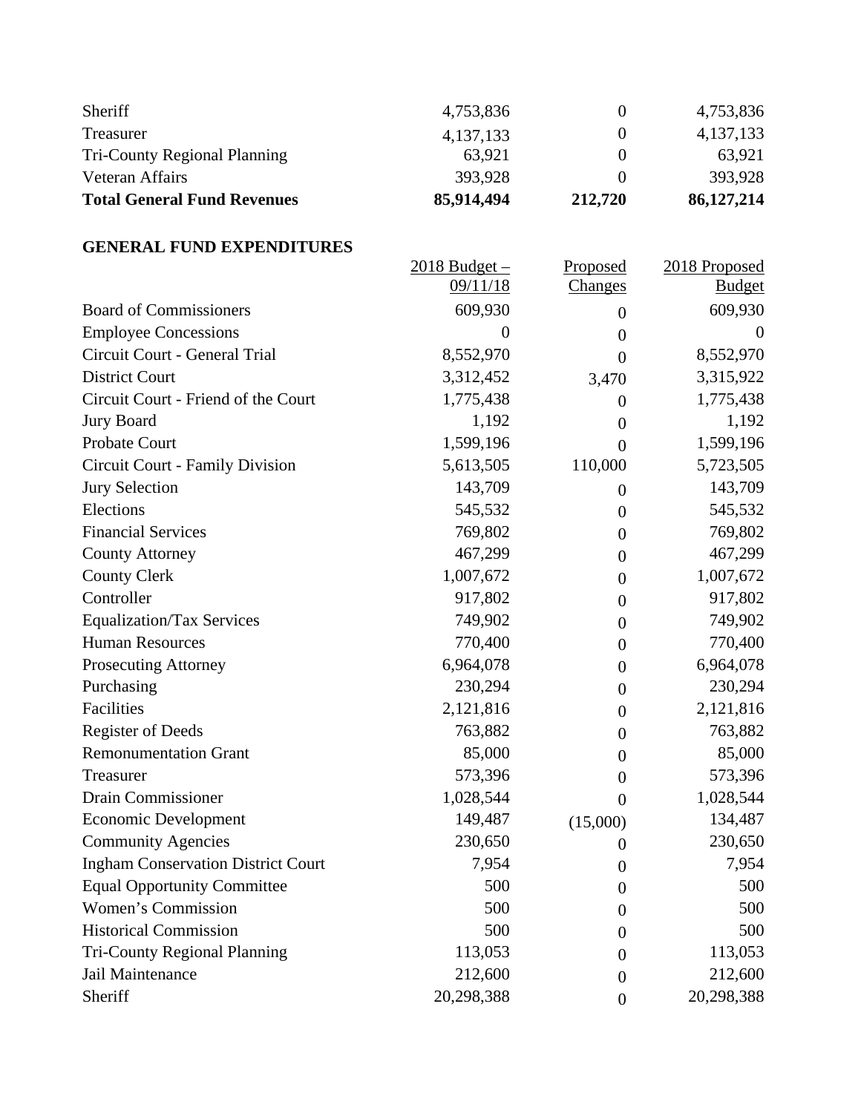| Sheriff                             | 4,753,836   |         | 4,753,836   |
|-------------------------------------|-------------|---------|-------------|
| Treasurer                           | 4, 137, 133 |         | 4, 137, 133 |
| <b>Tri-County Regional Planning</b> | 63.921      |         | 63.921      |
| Veteran Affairs                     | 393.928     |         | 393,928     |
| <b>Total General Fund Revenues</b>  | 85,914,494  | 212,720 | 86,127,214  |

### **GENERAL FUND EXPENDITURES**

|                                           | 2018 Budget-   | Proposed         | 2018 Proposed |
|-------------------------------------------|----------------|------------------|---------------|
|                                           | 09/11/18       | <b>Changes</b>   | <b>Budget</b> |
| <b>Board of Commissioners</b>             | 609,930        | $\theta$         | 609,930       |
| <b>Employee Concessions</b>               | $\overline{0}$ | $\boldsymbol{0}$ | $\theta$      |
| Circuit Court - General Trial             | 8,552,970      | $\theta$         | 8,552,970     |
| <b>District Court</b>                     | 3,312,452      | 3,470            | 3,315,922     |
| Circuit Court - Friend of the Court       | 1,775,438      | $\theta$         | 1,775,438     |
| <b>Jury Board</b>                         | 1,192          | $\boldsymbol{0}$ | 1,192         |
| <b>Probate Court</b>                      | 1,599,196      | $\theta$         | 1,599,196     |
| Circuit Court - Family Division           | 5,613,505      | 110,000          | 5,723,505     |
| <b>Jury Selection</b>                     | 143,709        | $\theta$         | 143,709       |
| Elections                                 | 545,532        | $\theta$         | 545,532       |
| <b>Financial Services</b>                 | 769,802        | $\theta$         | 769,802       |
| <b>County Attorney</b>                    | 467,299        | $\theta$         | 467,299       |
| <b>County Clerk</b>                       | 1,007,672      | $\boldsymbol{0}$ | 1,007,672     |
| Controller                                | 917,802        | $\theta$         | 917,802       |
| <b>Equalization/Tax Services</b>          | 749,902        | $\theta$         | 749,902       |
| <b>Human Resources</b>                    | 770,400        | $\theta$         | 770,400       |
| <b>Prosecuting Attorney</b>               | 6,964,078      | $\theta$         | 6,964,078     |
| Purchasing                                | 230,294        | $\theta$         | 230,294       |
| Facilities                                | 2,121,816      | $\theta$         | 2,121,816     |
| <b>Register of Deeds</b>                  | 763,882        | $\theta$         | 763,882       |
| <b>Remonumentation Grant</b>              | 85,000         | $\boldsymbol{0}$ | 85,000        |
| Treasurer                                 | 573,396        | $\boldsymbol{0}$ | 573,396       |
| <b>Drain Commissioner</b>                 | 1,028,544      | $\theta$         | 1,028,544     |
| <b>Economic Development</b>               | 149,487        | (15,000)         | 134,487       |
| <b>Community Agencies</b>                 | 230,650        | $\overline{0}$   | 230,650       |
| <b>Ingham Conservation District Court</b> | 7,954          | $\overline{0}$   | 7,954         |
| <b>Equal Opportunity Committee</b>        | 500            | $\boldsymbol{0}$ | 500           |
| Women's Commission                        | 500            | $\theta$         | 500           |
| <b>Historical Commission</b>              | 500            | $\overline{0}$   | 500           |
| <b>Tri-County Regional Planning</b>       | 113,053        | 0                | 113,053       |
| Jail Maintenance                          | 212,600        | $\theta$         | 212,600       |
| Sheriff                                   | 20,298,388     | $\overline{0}$   | 20,298,388    |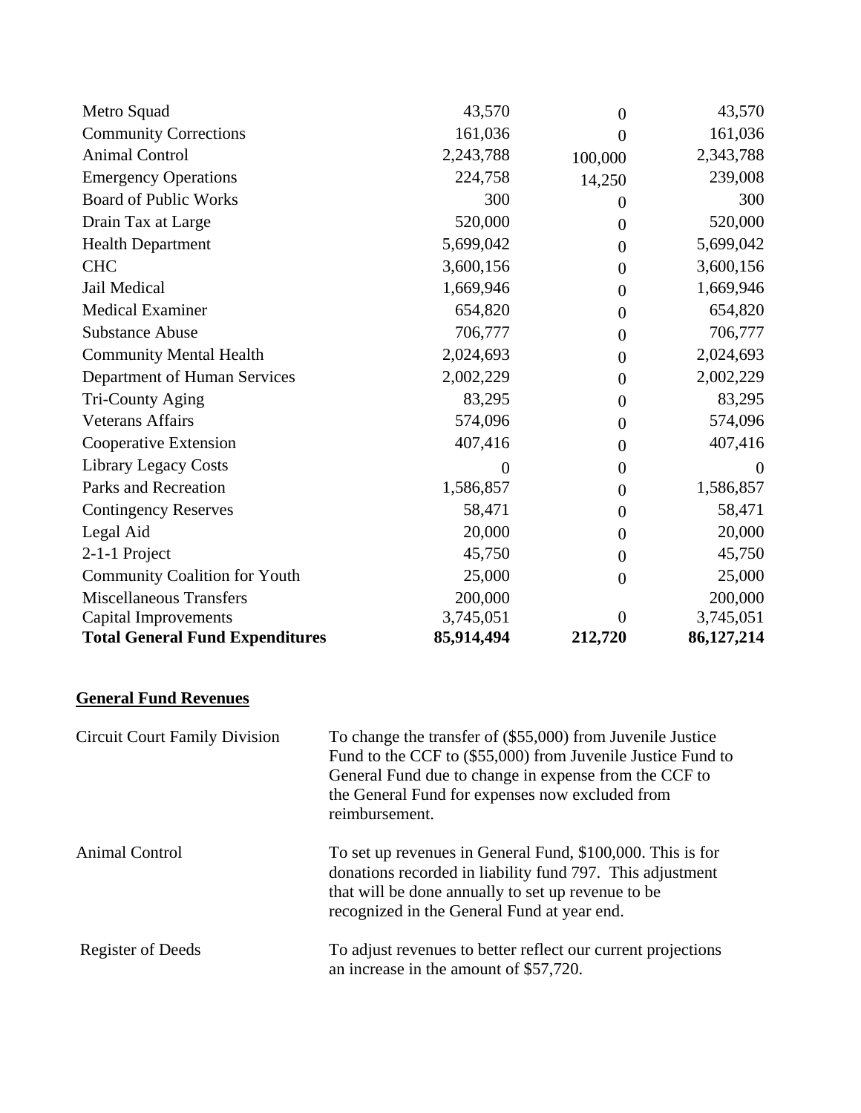| Metro Squad                            | 43,570     | $\overline{0}$ | 43,570       |
|----------------------------------------|------------|----------------|--------------|
| <b>Community Corrections</b>           | 161,036    | $\theta$       | 161,036      |
| <b>Animal Control</b>                  | 2,243,788  | 100,000        | 2,343,788    |
| <b>Emergency Operations</b>            | 224,758    | 14,250         | 239,008      |
| <b>Board of Public Works</b>           | 300        | $\theta$       | 300          |
| Drain Tax at Large                     | 520,000    | $\theta$       | 520,000      |
| <b>Health Department</b>               | 5,699,042  | $\overline{0}$ | 5,699,042    |
| <b>CHC</b>                             | 3,600,156  | $\overline{0}$ | 3,600,156    |
| Jail Medical                           | 1,669,946  | $\overline{0}$ | 1,669,946    |
| <b>Medical Examiner</b>                | 654,820    | $\theta$       | 654,820      |
| <b>Substance Abuse</b>                 | 706,777    | $\theta$       | 706,777      |
| <b>Community Mental Health</b>         | 2,024,693  | $\theta$       | 2,024,693    |
| Department of Human Services           | 2,002,229  | $\theta$       | 2,002,229    |
| Tri-County Aging                       | 83,295     | $\theta$       | 83,295       |
| <b>Veterans Affairs</b>                | 574,096    | $\theta$       | 574,096      |
| Cooperative Extension                  | 407,416    | $\theta$       | 407,416      |
| <b>Library Legacy Costs</b>            | 0          | $\theta$       | $\Omega$     |
| Parks and Recreation                   | 1,586,857  | $\overline{0}$ | 1,586,857    |
| <b>Contingency Reserves</b>            | 58,471     | $\theta$       | 58,471       |
| Legal Aid                              | 20,000     | $\theta$       | 20,000       |
| 2-1-1 Project                          | 45,750     | $\theta$       | 45,750       |
| <b>Community Coalition for Youth</b>   | 25,000     | $\overline{0}$ | 25,000       |
| <b>Miscellaneous Transfers</b>         | 200,000    |                | 200,000      |
| <b>Capital Improvements</b>            | 3,745,051  | $\Omega$       | 3,745,051    |
| <b>Total General Fund Expenditures</b> | 85,914,494 | 212,720        | 86, 127, 214 |

# **General Fund Revenues**

| <b>Circuit Court Family Division</b> | To change the transfer of (\$55,000) from Juvenile Justice<br>Fund to the CCF to (\$55,000) from Juvenile Justice Fund to<br>General Fund due to change in expense from the CCF to<br>the General Fund for expenses now excluded from<br>reimbursement. |
|--------------------------------------|---------------------------------------------------------------------------------------------------------------------------------------------------------------------------------------------------------------------------------------------------------|
| Animal Control                       | To set up revenues in General Fund, \$100,000. This is for<br>donations recorded in liability fund 797. This adjustment<br>that will be done annually to set up revenue to be<br>recognized in the General Fund at year end.                            |
| <b>Register of Deeds</b>             | To adjust revenues to better reflect our current projections<br>an increase in the amount of \$57,720.                                                                                                                                                  |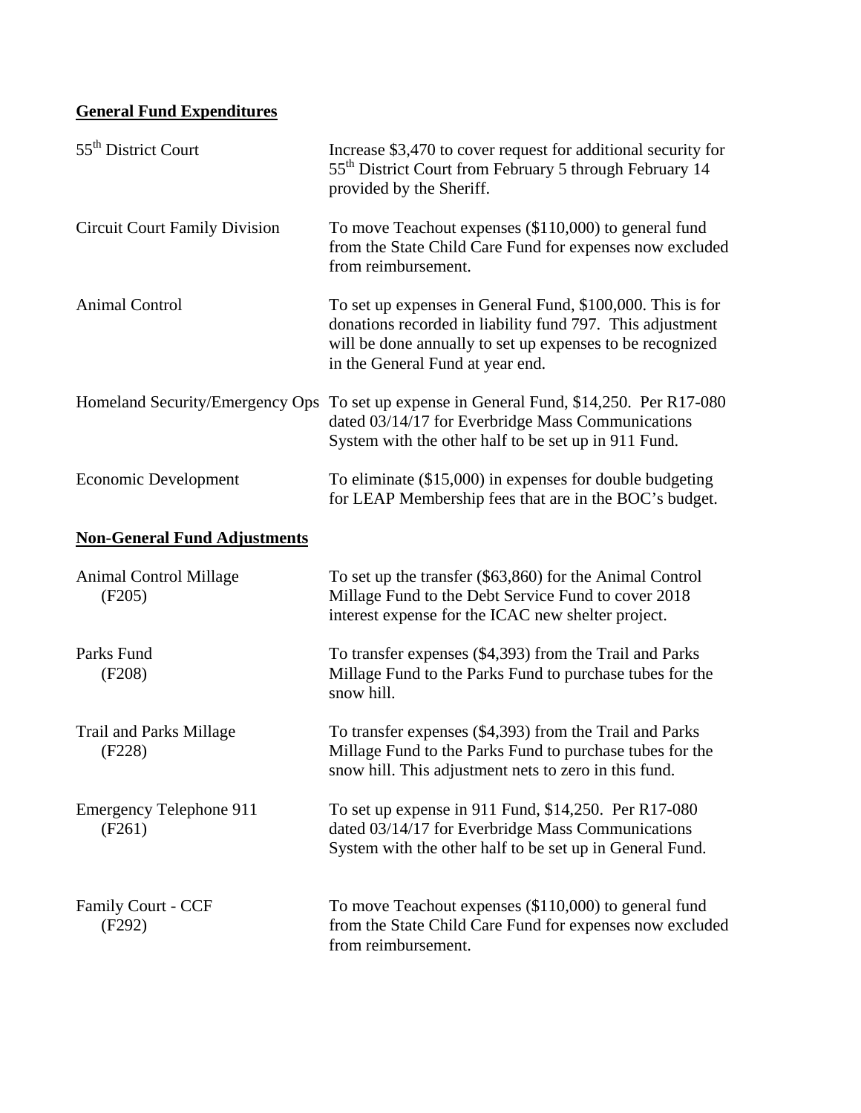# **General Fund Expenditures**

| 55 <sup>th</sup> District Court          | Increase \$3,470 to cover request for additional security for<br>55 <sup>th</sup> District Court from February 5 through February 14<br>provided by the Sheriff.                                                         |
|------------------------------------------|--------------------------------------------------------------------------------------------------------------------------------------------------------------------------------------------------------------------------|
| <b>Circuit Court Family Division</b>     | To move Teachout expenses (\$110,000) to general fund<br>from the State Child Care Fund for expenses now excluded<br>from reimbursement.                                                                                 |
| Animal Control                           | To set up expenses in General Fund, \$100,000. This is for<br>donations recorded in liability fund 797. This adjustment<br>will be done annually to set up expenses to be recognized<br>in the General Fund at year end. |
| Homeland Security/Emergency Ops          | To set up expense in General Fund, \$14,250. Per R17-080<br>dated 03/14/17 for Everbridge Mass Communications<br>System with the other half to be set up in 911 Fund.                                                    |
| <b>Economic Development</b>              | To eliminate (\$15,000) in expenses for double budgeting<br>for LEAP Membership fees that are in the BOC's budget.                                                                                                       |
| <b>Non-General Fund Adjustments</b>      |                                                                                                                                                                                                                          |
| <b>Animal Control Millage</b><br>(F205)  | To set up the transfer (\$63,860) for the Animal Control<br>Millage Fund to the Debt Service Fund to cover 2018<br>interest expense for the ICAC new shelter project.                                                    |
| Parks Fund<br>(F208)                     | To transfer expenses (\$4,393) from the Trail and Parks<br>Millage Fund to the Parks Fund to purchase tubes for the<br>snow hill.                                                                                        |
| <b>Trail and Parks Millage</b><br>(F228) | To transfer expenses (\$4,393) from the Trail and Parks<br>Millage Fund to the Parks Fund to purchase tubes for the<br>snow hill. This adjustment nets to zero in this fund.                                             |
| <b>Emergency Telephone 911</b><br>(F261) | To set up expense in 911 Fund, \$14,250. Per R17-080<br>dated 03/14/17 for Everbridge Mass Communications<br>System with the other half to be set up in General Fund.                                                    |
| <b>Family Court - CCF</b><br>(F292)      | To move Teachout expenses (\$110,000) to general fund<br>from the State Child Care Fund for expenses now excluded<br>from reimbursement.                                                                                 |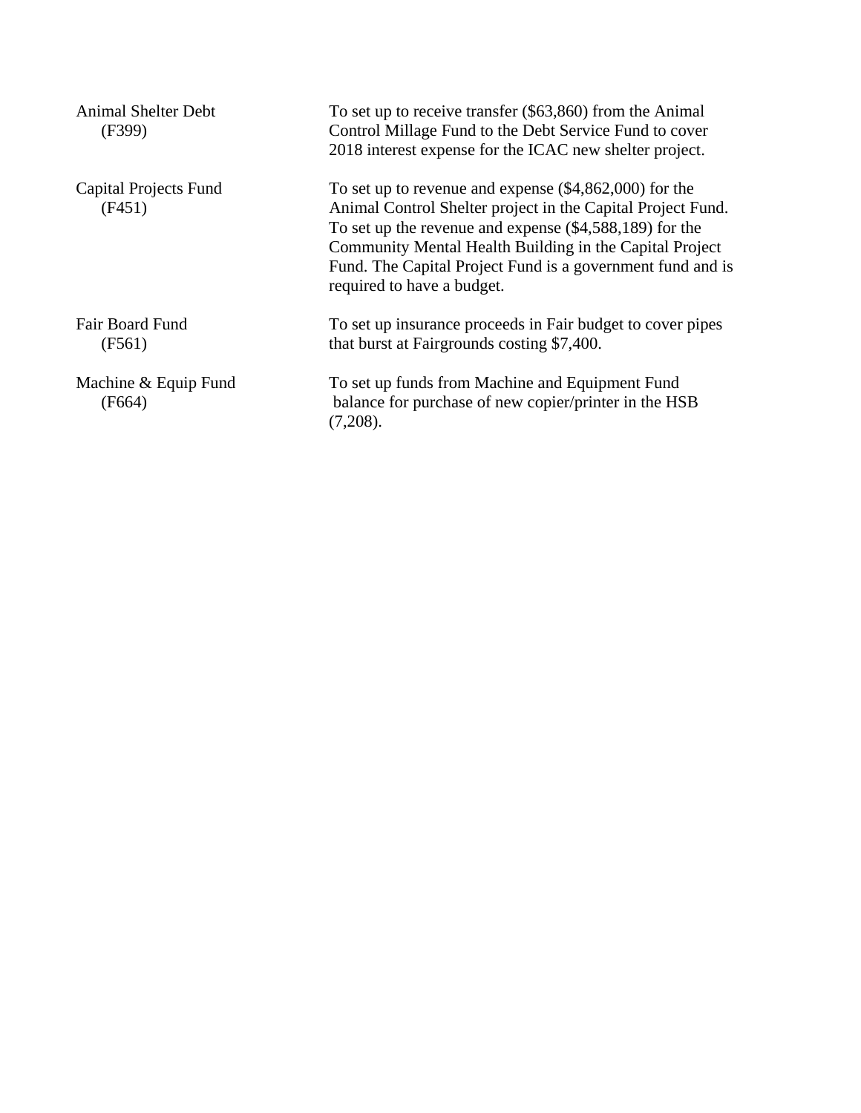| <b>Animal Shelter Debt</b><br>(F399)   | To set up to receive transfer $(\$63,860)$ from the Animal<br>Control Millage Fund to the Debt Service Fund to cover<br>2018 interest expense for the ICAC new shelter project.                                                                                                                                                             |
|----------------------------------------|---------------------------------------------------------------------------------------------------------------------------------------------------------------------------------------------------------------------------------------------------------------------------------------------------------------------------------------------|
| <b>Capital Projects Fund</b><br>(F451) | To set up to revenue and expense $(\$4,862,000)$ for the<br>Animal Control Shelter project in the Capital Project Fund.<br>To set up the revenue and expense $(\$4,588,189)$ for the<br>Community Mental Health Building in the Capital Project<br>Fund. The Capital Project Fund is a government fund and is<br>required to have a budget. |
| <b>Fair Board Fund</b><br>(F561)       | To set up insurance proceeds in Fair budget to cover pipes<br>that burst at Fairgrounds costing \$7,400.                                                                                                                                                                                                                                    |
| Machine & Equip Fund<br>(F664)         | To set up funds from Machine and Equipment Fund<br>balance for purchase of new copier/printer in the HSB<br>(7,208).                                                                                                                                                                                                                        |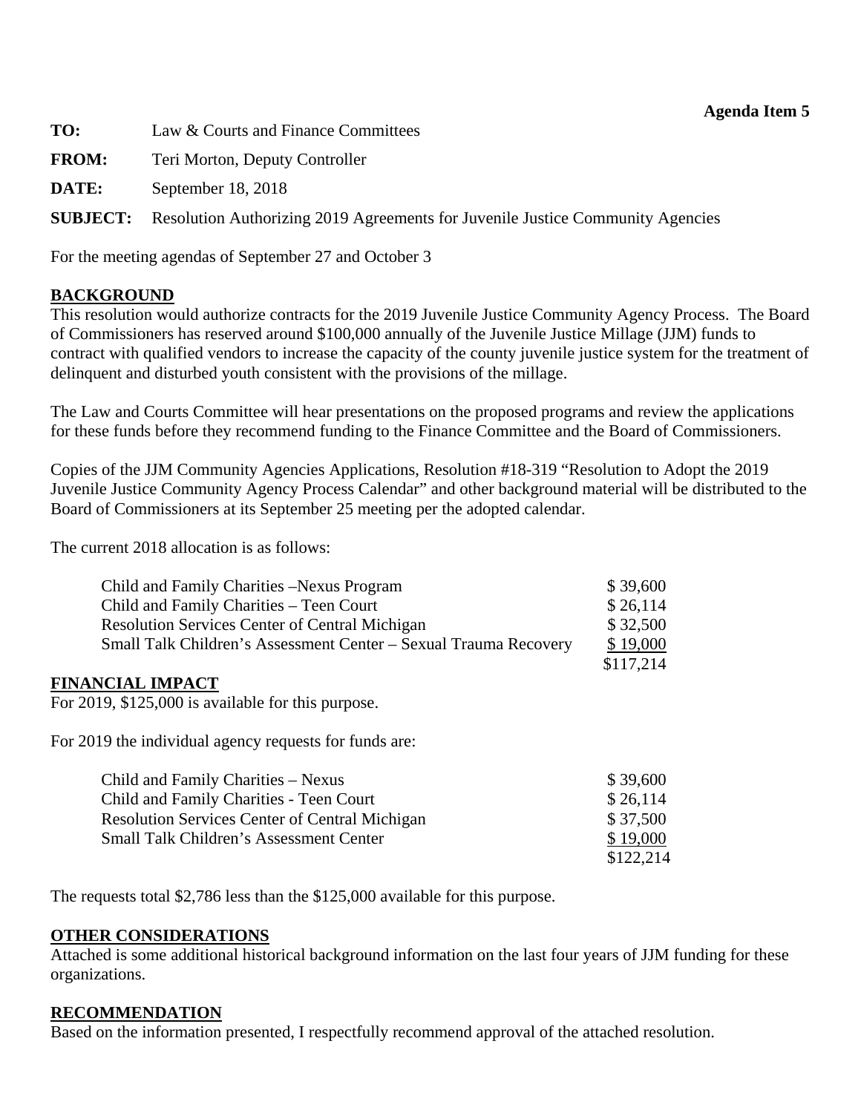| <b>Agenda Item 5</b> |  |  |
|----------------------|--|--|
|----------------------|--|--|

<span id="page-22-0"></span>

| TO:          | Law & Courts and Finance Committees                                                            |
|--------------|------------------------------------------------------------------------------------------------|
| <b>FROM:</b> | Teri Morton, Deputy Controller                                                                 |
| DATE:        | September 18, 2018                                                                             |
|              | <b>SUBJECT:</b> Resolution Authorizing 2019 Agreements for Juvenile Justice Community Agencies |
|              |                                                                                                |

For the meeting agendas of September 27 and October 3

### **BACKGROUND**

This resolution would authorize contracts for the 2019 Juvenile Justice Community Agency Process. The Board of Commissioners has reserved around \$100,000 annually of the Juvenile Justice Millage (JJM) funds to contract with qualified vendors to increase the capacity of the county juvenile justice system for the treatment of delinquent and disturbed youth consistent with the provisions of the millage.

The Law and Courts Committee will hear presentations on the proposed programs and review the applications for these funds before they recommend funding to the Finance Committee and the Board of Commissioners.

Copies of the JJM Community Agencies Applications, Resolution #18-319 "Resolution to Adopt the 2019 Juvenile Justice Community Agency Process Calendar" and other background material will be distributed to the Board of Commissioners at its September 25 meeting per the adopted calendar.

The current 2018 allocation is as follows:

| Child and Family Charities – Nexus Program                       | \$39,600  |
|------------------------------------------------------------------|-----------|
| Child and Family Charities – Teen Court                          | \$26,114  |
| <b>Resolution Services Center of Central Michigan</b>            | \$32,500  |
| Small Talk Children's Assessment Center – Sexual Trauma Recovery | \$19,000  |
|                                                                  | \$117,214 |

#### **FINANCIAL IMPACT**

For 2019, \$125,000 is available for this purpose.

For 2019 the individual agency requests for funds are:

| Child and Family Charities – Nexus                    | \$39,600  |
|-------------------------------------------------------|-----------|
| Child and Family Charities - Teen Court               | \$26,114  |
| <b>Resolution Services Center of Central Michigan</b> | \$37,500  |
| <b>Small Talk Children's Assessment Center</b>        | \$19,000  |
|                                                       | \$122,214 |

The requests total \$2,786 less than the \$125,000 available for this purpose.

#### **OTHER CONSIDERATIONS**

Attached is some additional historical background information on the last four years of JJM funding for these organizations.

#### **RECOMMENDATION**

Based on the information presented, I respectfully recommend approval of the attached resolution.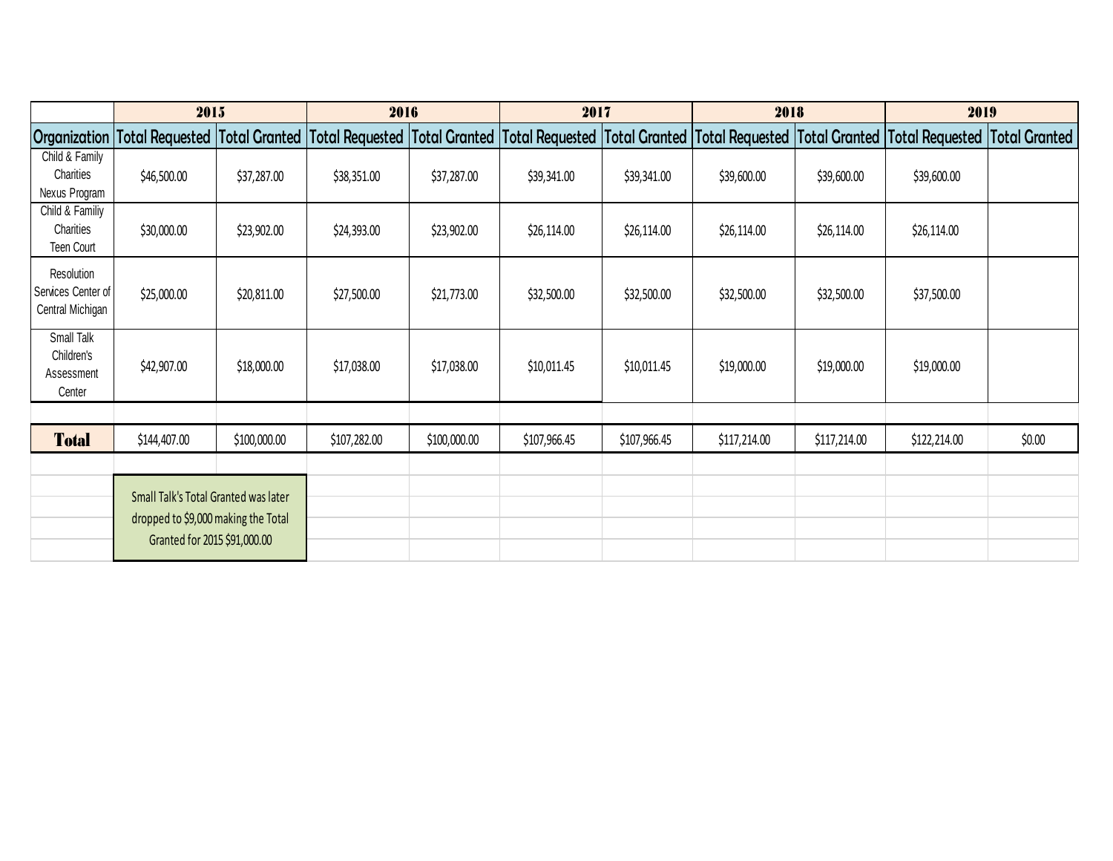|                                                         | 2015                                                                                                                                                                                                                |              | 2016         |              | 2017         |              | 2018         |              | 2019         |                      |
|---------------------------------------------------------|---------------------------------------------------------------------------------------------------------------------------------------------------------------------------------------------------------------------|--------------|--------------|--------------|--------------|--------------|--------------|--------------|--------------|----------------------|
|                                                         | Organization  Total Requested  Total Granted  Total Requested  Total Granted  Total Requested  Total Requested  Total Granted  Total Granted  Total Requested   Total Requested   Total Requested   Total Requested |              |              |              |              |              |              |              |              | <b>Total Granted</b> |
| Child & Family<br>Charities<br>Nexus Program            | \$46,500.00                                                                                                                                                                                                         | \$37,287.00  | \$38,351.00  | \$37,287.00  | \$39,341.00  | \$39,341.00  | \$39,600.00  | \$39,600.00  | \$39,600.00  |                      |
| Child & Familiy<br>Charities<br>Teen Court              | \$30,000.00                                                                                                                                                                                                         | \$23,902.00  | \$24,393.00  | \$23,902.00  | \$26,114.00  | \$26,114.00  | \$26,114.00  | \$26,114.00  | \$26,114.00  |                      |
| Resolution<br>Services Center of<br>Central Michigan    | \$25,000.00                                                                                                                                                                                                         | \$20,811.00  | \$27,500.00  | \$21,773.00  | \$32,500.00  | \$32,500.00  | \$32,500.00  | \$32,500.00  | \$37,500.00  |                      |
| <b>Small Talk</b><br>Children's<br>Assessment<br>Center | \$42,907.00                                                                                                                                                                                                         | \$18,000.00  | \$17,038.00  | \$17,038.00  | \$10,011.45  | \$10,011.45  | \$19,000.00  | \$19,000.00  | \$19,000.00  |                      |
|                                                         |                                                                                                                                                                                                                     |              |              |              |              |              |              |              |              |                      |
| <b>Total</b>                                            | \$144,407.00                                                                                                                                                                                                        | \$100,000.00 | \$107,282.00 | \$100,000.00 | \$107,966.45 | \$107,966.45 | \$117,214.00 | \$117,214.00 | \$122,214.00 | \$0.00               |
|                                                         |                                                                                                                                                                                                                     |              |              |              |              |              |              |              |              |                      |
|                                                         | Small Talk's Total Granted was later<br>dropped to \$9,000 making the Total<br>Granted for 2015 \$91,000.00                                                                                                         |              |              |              |              |              |              |              |              |                      |